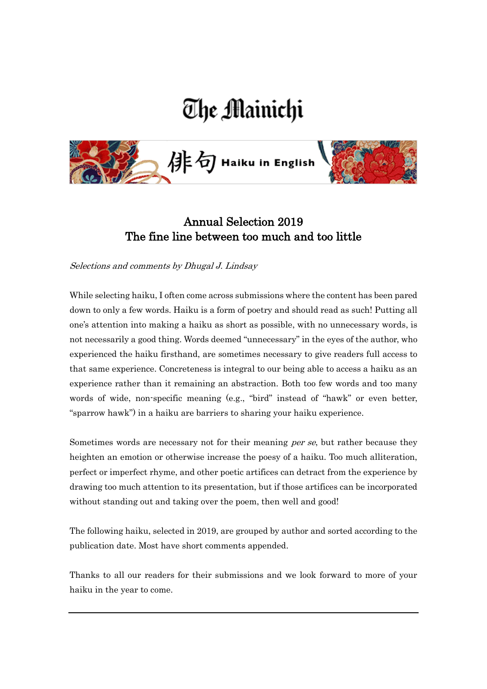# The Mainichi



## Annual Selection 2019 The fine line between too much and too little

Selections and comments by Dhugal J. Lindsay

While selecting haiku, I often come across submissions where the content has been pared down to only a few words. Haiku is a form of poetry and should read as such! Putting all one's attention into making a haiku as short as possible, with no unnecessary words, is not necessarily a good thing. Words deemed "unnecessary" in the eyes of the author, who experienced the haiku firsthand, are sometimes necessary to give readers full access to that same experience. Concreteness is integral to our being able to access a haiku as an experience rather than it remaining an abstraction. Both too few words and too many words of wide, non-specific meaning (e.g., "bird" instead of "hawk" or even better, "sparrow hawk") in a haiku are barriers to sharing your haiku experience.

Sometimes words are necessary not for their meaning *per se*, but rather because they heighten an emotion or otherwise increase the poesy of a haiku. Too much alliteration, perfect or imperfect rhyme, and other poetic artifices can detract from the experience by drawing too much attention to its presentation, but if those artifices can be incorporated without standing out and taking over the poem, then well and good!

The following haiku, selected in 2019, are grouped by author and sorted according to the publication date. Most have short comments appended.

Thanks to all our readers for their submissions and we look forward to more of your haiku in the year to come.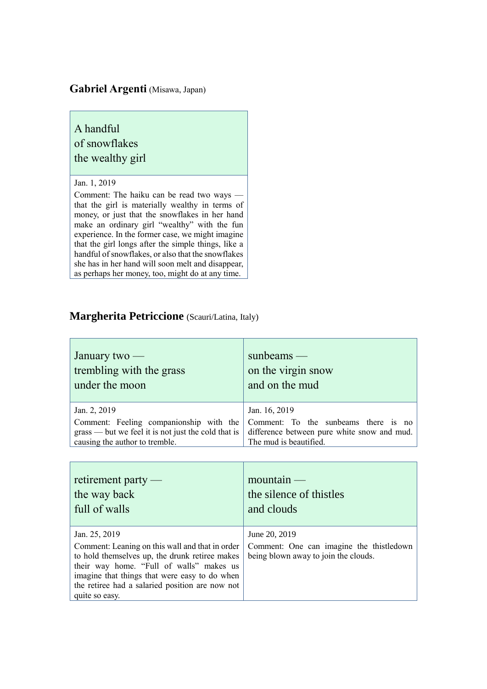#### **Gabriel Argenti** (Misawa, Japan)

## A handful of snowflakes the wealthy girl

#### Jan. 1, 2019

Comment: The haiku can be read two ways that the girl is materially wealthy in terms of money, or just that the snowflakes in her hand make an ordinary girl "wealthy" with the fun experience. In the former case, we might imagine that the girl longs after the simple things, like a handful of snowflakes, or also that the snowflakes she has in her hand will soon melt and disappear, as perhaps her money, too, might do at any time.

#### **Margherita Petriccione** (Scauri/Latina, Italy)

| January two $-$                                       | $sumbeams$ —                                |
|-------------------------------------------------------|---------------------------------------------|
| trembling with the grass                              | on the virgin snow                          |
| under the moon                                        | and on the mud                              |
| Jan. 2, 2019                                          | Jan. 16, 2019                               |
| Comment: Feeling companionship with the               | Comment: To the sunbeams there is no        |
| $grass$ — but we feel it is not just the cold that is | difference between pure white snow and mud. |
| causing the author to tremble.                        | The mud is beautified.                      |

| retirement party $-$<br>the way back<br>full of walls                                                                                                                                                                                                               | $mountain$ —<br>the silence of thistles<br>and clouds                            |
|---------------------------------------------------------------------------------------------------------------------------------------------------------------------------------------------------------------------------------------------------------------------|----------------------------------------------------------------------------------|
| Jan. 25, 2019                                                                                                                                                                                                                                                       | June 20, 2019                                                                    |
| Comment: Leaning on this wall and that in order<br>to hold themselves up, the drunk retiree makes<br>their way home. "Full of walls" makes us<br>imagine that things that were easy to do when<br>the retiree had a salaried position are now not<br>quite so easy. | Comment: One can imagine the thistledown<br>being blown away to join the clouds. |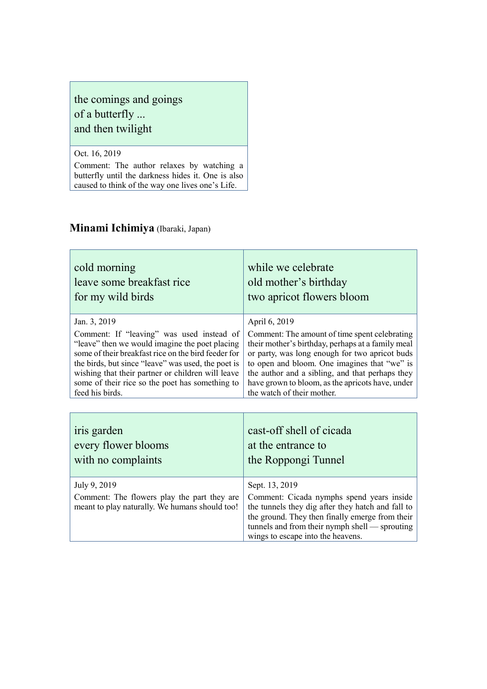## the comings and goings of a butterfly ... and then twilight

Oct. 16, 2019

Comment: The author relaxes by watching a butterfly until the darkness hides it. One is also caused to think of the way one lives one's Life.

## **Minami Ichimiya** (Ibaraki, Japan)

| cold morning                                                                                                  | while we celebrate                                                                                                                                                                                                                                         |
|---------------------------------------------------------------------------------------------------------------|------------------------------------------------------------------------------------------------------------------------------------------------------------------------------------------------------------------------------------------------------------|
| leave some breakfast rice                                                                                     | old mother's birthday                                                                                                                                                                                                                                      |
| for my wild birds                                                                                             | two apricot flowers bloom                                                                                                                                                                                                                                  |
| Jan. 3, 2019                                                                                                  | April 6, 2019                                                                                                                                                                                                                                              |
| Comment: If "leaving" was used instead of                                                                     | Comment: The amount of time spent celebrating                                                                                                                                                                                                              |
| "leave" then we would imagine the poet placing                                                                | their mother's birthday, perhaps at a family meal                                                                                                                                                                                                          |
| some of their breakfast rice on the bird feeder for                                                           | or party, was long enough for two apricot buds                                                                                                                                                                                                             |
| the birds, but since "leave" was used, the poet is                                                            | to open and bloom. One imagines that "we" is                                                                                                                                                                                                               |
| wishing that their partner or children will leave                                                             | the author and a sibling, and that perhaps they                                                                                                                                                                                                            |
| some of their rice so the poet has something to                                                               | have grown to bloom, as the apricots have, under                                                                                                                                                                                                           |
| feed his birds.                                                                                               | the watch of their mother.                                                                                                                                                                                                                                 |
|                                                                                                               |                                                                                                                                                                                                                                                            |
| iris garden                                                                                                   | cast-off shell of cicada                                                                                                                                                                                                                                   |
| every flower blooms                                                                                           | at the entrance to                                                                                                                                                                                                                                         |
| with no complaints                                                                                            | the Roppongi Tunnel                                                                                                                                                                                                                                        |
| July 9, 2019<br>Comment: The flowers play the part they are<br>meant to play naturally. We humans should too! | Sept. 13, 2019<br>Comment: Cicada nymphs spend years inside<br>the tunnels they dig after they hatch and fall to<br>the ground. They then finally emerge from their<br>tunnels and from their nymph shell — sprouting<br>wings to escape into the heavens. |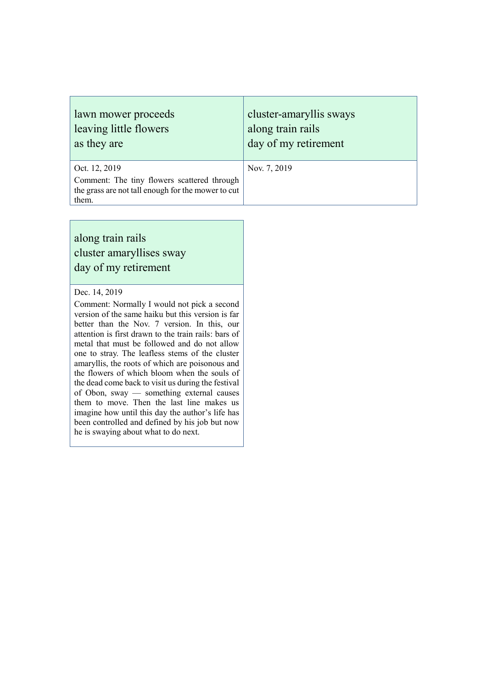| lawn mower proceeds                                                                                                         | cluster-amaryllis sways |
|-----------------------------------------------------------------------------------------------------------------------------|-------------------------|
| leaving little flowers                                                                                                      | along train rails       |
| as they are                                                                                                                 | day of my retirement    |
| Oct. 12, 2019<br>Comment: The tiny flowers scattered through<br>the grass are not tall enough for the mower to cut<br>them. | Nov. 7, 2019            |

## along train rails cluster amaryllises sway day of my retirement

#### Dec. 14, 2019

Comment: Normally I would not pick a second version of the same haiku but this version is far better than the Nov. 7 version. In this, our attention is first drawn to the train rails: bars of metal that must be followed and do not allow one to stray. The leafless stems of the cluster amaryllis, the roots of which are poisonous and the flowers of which bloom when the souls of the dead come back to visit us during the festival of Obon, sway — something external causes them to move. Then the last line makes us imagine how until this day the author's life has been controlled and defined by his job but now he is swaying about what to do next.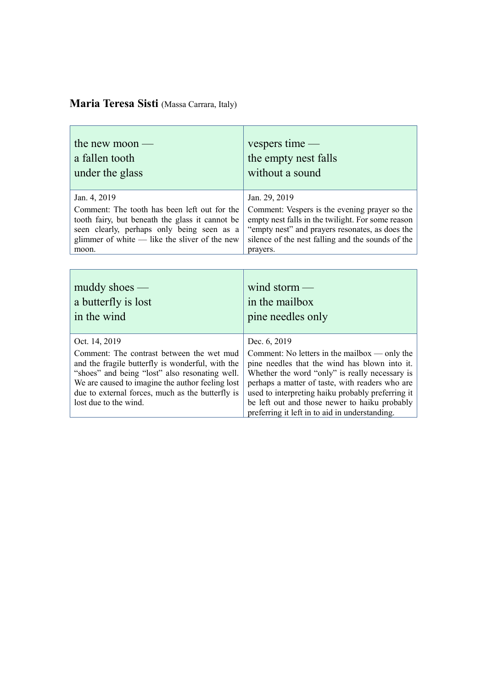## **Maria Teresa Sisti** (Massa Carrara, Italy)

| the new moon $-$                                | vespers time $-$                                  |
|-------------------------------------------------|---------------------------------------------------|
| a fallen tooth                                  | the empty nest falls                              |
| under the glass                                 | without a sound                                   |
| Jan. 4, 2019                                    | Jan. 29, 2019                                     |
| Comment: The tooth has been left out for the    | Comment: Vespers is the evening prayer so the     |
| tooth fairy, but beneath the glass it cannot be | empty nest falls in the twilight. For some reason |
| seen clearly, perhaps only being seen as a      | "empty nest" and prayers resonates, as does the   |
| glimmer of white $-$ like the sliver of the new | silence of the nest falling and the sounds of the |
| moon.                                           | prayers.                                          |
| $muddy$ shoes —                                 | wind storm $-$                                    |
| a butterfly is lost                             | in the mailbox                                    |
| in the wind                                     | pine needles only                                 |

| Oct. 14, 2019                                                                                                                                     | Dec. 6, 2019                                                                                                                                                                                                                                                                                                                                               |
|---------------------------------------------------------------------------------------------------------------------------------------------------|------------------------------------------------------------------------------------------------------------------------------------------------------------------------------------------------------------------------------------------------------------------------------------------------------------------------------------------------------------|
| "shoes" and being "lost" also resonating well. Whether the word "only" is really necessary is<br>due to external forces, much as the butterfly is | Comment: The contrast between the wet mud $\vert$ Comment: No letters in the mailbox — only the<br>and the fragile butterfly is wonderful, with the pine needles that the wind has blown into it.<br>We are caused to imagine the author feeling lost perhaps a matter of taste, with readers who are<br>used to interpreting haiku probably preferring it |
| lost due to the wind.                                                                                                                             | be left out and those newer to haiku probably                                                                                                                                                                                                                                                                                                              |
|                                                                                                                                                   | preferring it left in to aid in understanding.                                                                                                                                                                                                                                                                                                             |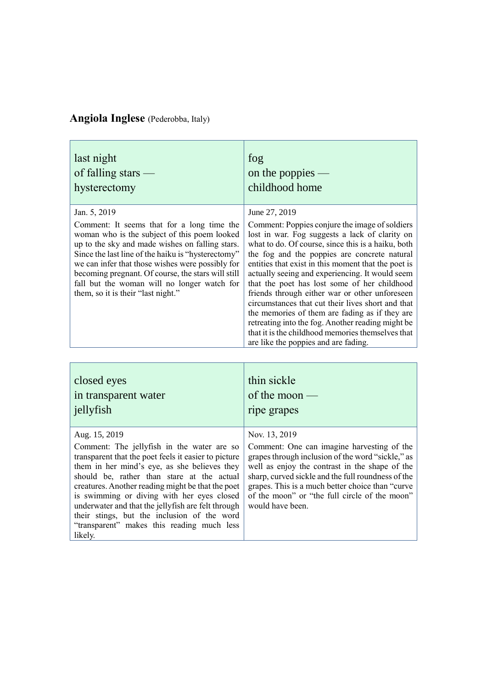# **Angiola Inglese** (Pederobba, Italy)

| last night                                                                                                                                                                                                                                                                                                                                                                                                         | fog                                                                                                                                                                                                                                                                                                                                                                                                                                                                                                                                                                                                                                                                                          |
|--------------------------------------------------------------------------------------------------------------------------------------------------------------------------------------------------------------------------------------------------------------------------------------------------------------------------------------------------------------------------------------------------------------------|----------------------------------------------------------------------------------------------------------------------------------------------------------------------------------------------------------------------------------------------------------------------------------------------------------------------------------------------------------------------------------------------------------------------------------------------------------------------------------------------------------------------------------------------------------------------------------------------------------------------------------------------------------------------------------------------|
| of falling stars $-$                                                                                                                                                                                                                                                                                                                                                                                               | on the poppies $-$                                                                                                                                                                                                                                                                                                                                                                                                                                                                                                                                                                                                                                                                           |
| hysterectomy                                                                                                                                                                                                                                                                                                                                                                                                       | childhood home                                                                                                                                                                                                                                                                                                                                                                                                                                                                                                                                                                                                                                                                               |
| Jan. 5, 2019<br>Comment: It seems that for a long time the<br>woman who is the subject of this poem looked<br>up to the sky and made wishes on falling stars.<br>Since the last line of the haiku is "hysterectomy"<br>we can infer that those wishes were possibly for<br>becoming pregnant. Of course, the stars will still<br>fall but the woman will no longer watch for<br>them, so it is their "last night." | June 27, 2019<br>Comment: Poppies conjure the image of soldiers<br>lost in war. Fog suggests a lack of clarity on<br>what to do. Of course, since this is a haiku, both<br>the fog and the poppies are concrete natural<br>entities that exist in this moment that the poet is<br>actually seeing and experiencing. It would seem<br>that the poet has lost some of her childhood<br>friends through either war or other unforeseen<br>circumstances that cut their lives short and that<br>the memories of them are fading as if they are<br>retreating into the fog. Another reading might be<br>that it is the childhood memories themselves that<br>are like the poppies and are fading. |

| closed eyes                                                                                                                                                                                                                                                                                                                                                                                                                                                                        | thin sickle                                                                                                                                                                                                                                                                                                                                        |
|------------------------------------------------------------------------------------------------------------------------------------------------------------------------------------------------------------------------------------------------------------------------------------------------------------------------------------------------------------------------------------------------------------------------------------------------------------------------------------|----------------------------------------------------------------------------------------------------------------------------------------------------------------------------------------------------------------------------------------------------------------------------------------------------------------------------------------------------|
| in transparent water                                                                                                                                                                                                                                                                                                                                                                                                                                                               | of the moon $-$                                                                                                                                                                                                                                                                                                                                    |
| jellyfish                                                                                                                                                                                                                                                                                                                                                                                                                                                                          | ripe grapes                                                                                                                                                                                                                                                                                                                                        |
| Aug. 15, 2019<br>Comment: The jellyfish in the water are so<br>transparent that the poet feels it easier to picture<br>them in her mind's eye, as she believes they<br>should be, rather than stare at the actual<br>creatures. Another reading might be that the poet<br>is swimming or diving with her eyes closed<br>underwater and that the jellyfish are felt through<br>their stings, but the inclusion of the word<br>"transparent" makes this reading much less<br>likely. | Nov. 13, 2019<br>Comment: One can imagine harvesting of the<br>grapes through inclusion of the word "sickle," as<br>well as enjoy the contrast in the shape of the<br>sharp, curved sickle and the full roundness of the<br>grapes. This is a much better choice than "curve"<br>of the moon" or "the full circle of the moon"<br>would have been. |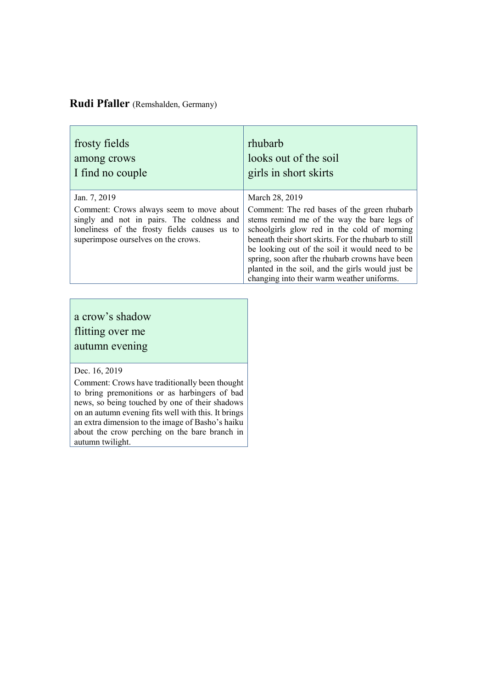#### **Rudi Pfaller** (Remshalden, Germany)

| frosty fields                                                                                                                                                                                | rhubarb                                                                                                                                                                                                                                                                                                                                                                                                                    |
|----------------------------------------------------------------------------------------------------------------------------------------------------------------------------------------------|----------------------------------------------------------------------------------------------------------------------------------------------------------------------------------------------------------------------------------------------------------------------------------------------------------------------------------------------------------------------------------------------------------------------------|
| among crows                                                                                                                                                                                  | looks out of the soil                                                                                                                                                                                                                                                                                                                                                                                                      |
| I find no couple                                                                                                                                                                             | girls in short skirts                                                                                                                                                                                                                                                                                                                                                                                                      |
| Jan. 7, 2019<br>Comment: Crows always seem to move about<br>singly and not in pairs. The coldness and<br>loneliness of the frosty fields causes us to<br>superimpose ourselves on the crows. | March 28, 2019<br>Comment: The red bases of the green rhubarb<br>stems remind me of the way the bare legs of<br>schoolgirls glow red in the cold of morning<br>beneath their short skirts. For the rhubarb to still<br>be looking out of the soil it would need to be<br>spring, soon after the rhubarb crowns have been<br>planted in the soil, and the girls would just be<br>changing into their warm weather uniforms. |

## a crow's shadow flitting over me autumn evening

#### Dec. 16, 2019

Comment: Crows have traditionally been thought to bring premonitions or as harbingers of bad news, so being touched by one of their shadows on an autumn evening fits well with this. It brings an extra dimension to the image of Basho's haiku about the crow perching on the bare branch in autumn twilight.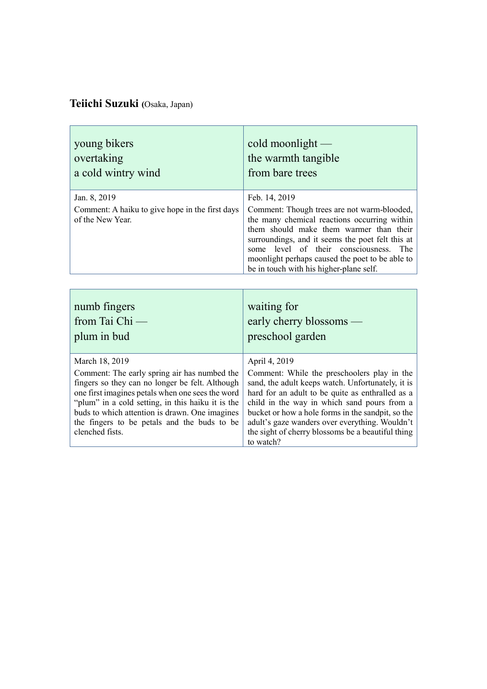# **Teiichi Suzuki (**Osaka, Japan)

| young bikers                                                                                                                                                                                                                                                                                                                                   | cold moonlight $-$                                                                                                                                                                                                                                                                                                                                                                            |
|------------------------------------------------------------------------------------------------------------------------------------------------------------------------------------------------------------------------------------------------------------------------------------------------------------------------------------------------|-----------------------------------------------------------------------------------------------------------------------------------------------------------------------------------------------------------------------------------------------------------------------------------------------------------------------------------------------------------------------------------------------|
| overtaking                                                                                                                                                                                                                                                                                                                                     | the warmth tangible                                                                                                                                                                                                                                                                                                                                                                           |
| a cold wintry wind                                                                                                                                                                                                                                                                                                                             | from bare trees                                                                                                                                                                                                                                                                                                                                                                               |
| Jan. 8, 2019<br>Comment: A haiku to give hope in the first days<br>of the New Year.                                                                                                                                                                                                                                                            | Feb. 14, 2019<br>Comment: Though trees are not warm-blooded,<br>the many chemical reactions occurring within<br>them should make them warmer than their<br>surroundings, and it seems the poet felt this at<br>level of their consciousness.<br>some<br>The<br>moonlight perhaps caused the poet to be able to<br>be in touch with his higher-plane self.                                     |
| numb fingers                                                                                                                                                                                                                                                                                                                                   | waiting for                                                                                                                                                                                                                                                                                                                                                                                   |
| from Tai Chi —                                                                                                                                                                                                                                                                                                                                 | early cherry blossoms —                                                                                                                                                                                                                                                                                                                                                                       |
| plum in bud                                                                                                                                                                                                                                                                                                                                    | preschool garden                                                                                                                                                                                                                                                                                                                                                                              |
| March 18, 2019<br>Comment: The early spring air has numbed the<br>fingers so they can no longer be felt. Although<br>one first imagines petals when one sees the word<br>"plum" in a cold setting, in this haiku it is the<br>buds to which attention is drawn. One imagines<br>the fingers to be petals and the buds to be<br>clenched fists. | April 4, 2019<br>Comment: While the preschoolers play in the<br>sand, the adult keeps watch. Unfortunately, it is<br>hard for an adult to be quite as enthralled as a<br>child in the way in which sand pours from a<br>bucket or how a hole forms in the sandpit, so the<br>adult's gaze wanders over everything. Wouldn't<br>the sight of cherry blossoms be a beautiful thing<br>to watch? |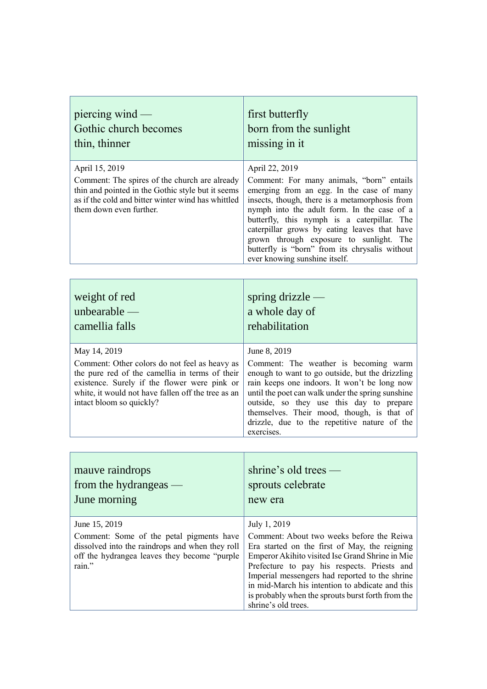| piercing wind $-$<br>Gothic church becomes<br>thin, thinner                                                                                                                                                                                       | first butterfly<br>born from the sunlight<br>missing in it                                                                                                                                                                                                                                                                                                                                                                             |
|---------------------------------------------------------------------------------------------------------------------------------------------------------------------------------------------------------------------------------------------------|----------------------------------------------------------------------------------------------------------------------------------------------------------------------------------------------------------------------------------------------------------------------------------------------------------------------------------------------------------------------------------------------------------------------------------------|
| April 15, 2019<br>Comment: The spires of the church are already<br>thin and pointed in the Gothic style but it seems<br>as if the cold and bitter winter wind has whittled<br>them down even further.                                             | April 22, 2019<br>Comment: For many animals, "born" entails<br>emerging from an egg. In the case of many<br>insects, though, there is a metamorphosis from<br>nymph into the adult form. In the case of a<br>butterfly, this nymph is a caterpillar. The<br>caterpillar grows by eating leaves that have<br>grown through exposure to sunlight. The<br>butterfly is "born" from its chrysalis without<br>ever knowing sunshine itself. |
|                                                                                                                                                                                                                                                   |                                                                                                                                                                                                                                                                                                                                                                                                                                        |
| weight of red<br>unbearable $-$<br>camellia falls                                                                                                                                                                                                 | spring drizzle $-$<br>a whole day of<br>rehabilitation                                                                                                                                                                                                                                                                                                                                                                                 |
| May 14, 2019<br>Comment: Other colors do not feel as heavy as<br>the pure red of the camellia in terms of their<br>existence. Surely if the flower were pink or<br>white, it would not have fallen off the tree as an<br>intact bloom so quickly? | June 8, 2019<br>Comment: The weather is becoming warm<br>enough to want to go outside, but the drizzling<br>rain keeps one indoors. It won't be long now<br>until the poet can walk under the spring sunshine<br>outside, so they use this day to prepare<br>themselves. Their mood, though, is that of<br>drizzle, due to the repetitive nature of the<br>exercises.                                                                  |
|                                                                                                                                                                                                                                                   |                                                                                                                                                                                                                                                                                                                                                                                                                                        |
| mauve raindrops<br>from the hydrangeas $-$                                                                                                                                                                                                        | shrine's old trees —<br>sprouts celebrate                                                                                                                                                                                                                                                                                                                                                                                              |

Comment: Some of the petal pigments have dissolved into the raindrops and when they roll off the hydrangea leaves they become "purple

June morning

June 15, 2019

rain."

July 1, 2019

new era

Comment: About two weeks before the Reiwa Era started on the first of May, the reigning Emperor Akihito visited Ise Grand Shrine in Mie Prefecture to pay his respects. Priests and Imperial messengers had reported to the shrine in mid-March his intention to abdicate and this is probably when the sprouts burst forth from the shrine's old trees.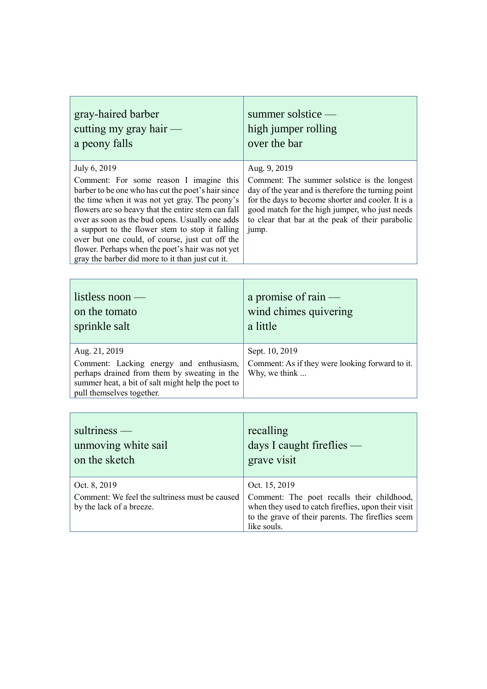| gray-haired barber                                                                                                                                                                                                                                                                                                                                                                                                                                                                     | summer solstice —                                                                                                                                                                                                                                                                      |
|----------------------------------------------------------------------------------------------------------------------------------------------------------------------------------------------------------------------------------------------------------------------------------------------------------------------------------------------------------------------------------------------------------------------------------------------------------------------------------------|----------------------------------------------------------------------------------------------------------------------------------------------------------------------------------------------------------------------------------------------------------------------------------------|
| cutting my gray hair $-$                                                                                                                                                                                                                                                                                                                                                                                                                                                               | high jumper rolling                                                                                                                                                                                                                                                                    |
| a peony falls                                                                                                                                                                                                                                                                                                                                                                                                                                                                          | over the bar                                                                                                                                                                                                                                                                           |
| July 6, 2019<br>Comment: For some reason I imagine this<br>barber to be one who has cut the poet's hair since<br>the time when it was not yet gray. The peony's<br>flowers are so heavy that the entire stem can fall<br>over as soon as the bud opens. Usually one adds<br>a support to the flower stem to stop it falling<br>over but one could, of course, just cut off the<br>flower. Perhaps when the poet's hair was not yet<br>gray the barber did more to it than just cut it. | Aug. 9, 2019<br>Comment: The summer solstice is the longest<br>day of the year and is therefore the turning point<br>for the days to become shorter and cooler. It is a<br>good match for the high jumper, who just needs<br>to clear that bar at the peak of their parabolic<br>jump. |

| listless noon —<br>on the tomato<br>sprinkle salt                                                                                                                         | a promise of rain $-$<br>wind chimes quivering<br>a little       |
|---------------------------------------------------------------------------------------------------------------------------------------------------------------------------|------------------------------------------------------------------|
| Aug. 21, 2019                                                                                                                                                             | Sept. 10, 2019                                                   |
| Comment: Lacking energy and enthusiasm,<br>perhaps drained from them by sweating in the<br>summer heat, a bit of salt might help the poet to<br>pull themselves together. | Comment: As if they were looking forward to it.<br>Why, we think |

| recalling<br>days I caught fireflies -<br>grave visit                                                                                                                                  |
|----------------------------------------------------------------------------------------------------------------------------------------------------------------------------------------|
| Oct. 15, 2019<br>Comment: The poet recalls their childhood,<br>when they used to catch fireflies, upon their visit<br>to the grave of their parents. The fireflies seem<br>like souls. |
|                                                                                                                                                                                        |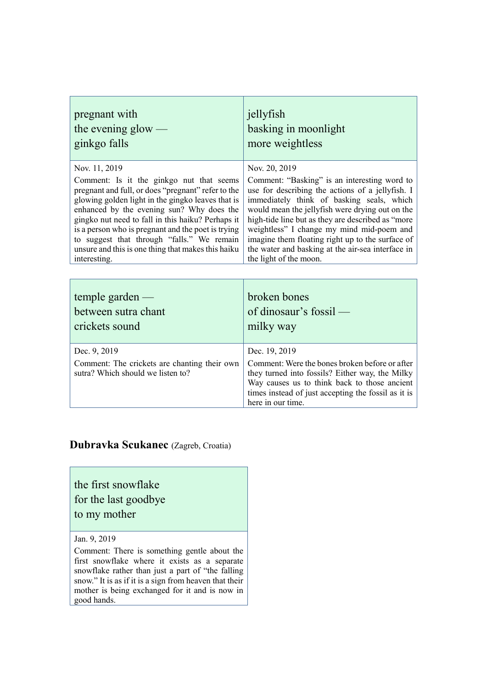| pregnant with                                      | jellyfish                                         |
|----------------------------------------------------|---------------------------------------------------|
| the evening glow $-$                               | basking in moonlight                              |
| ginkgo falls                                       | more weightless                                   |
| Nov. 11, 2019                                      | Nov. 20, 2019                                     |
| Comment: Is it the ginkgo nut that seems           | Comment: "Basking" is an interesting word to      |
| pregnant and full, or does "pregnant" refer to the | use for describing the actions of a jellyfish. I  |
| glowing golden light in the gingko leaves that is  | immediately think of basking seals, which         |
| enhanced by the evening sun? Why does the          | would mean the jellyfish were drying out on the   |
| gingko nut need to fall in this haiku? Perhaps it  | high-tide line but as they are described as "more |
| is a person who is pregnant and the poet is trying | weightless" I change my mind mid-poem and         |
| to suggest that through "falls." We remain         | imagine them floating right up to the surface of  |
| unsure and this is one thing that makes this haiku | the water and basking at the air-sea interface in |
| interesting.                                       | the light of the moon.                            |
|                                                    |                                                   |

| temple garden $-$<br>between sutra chant<br>crickets sound                        | broken bones<br>of dinosaur's fossil —<br>milky way                                                                                                                                                                           |
|-----------------------------------------------------------------------------------|-------------------------------------------------------------------------------------------------------------------------------------------------------------------------------------------------------------------------------|
| Dec. 9, 2019                                                                      | Dec. 19, 2019                                                                                                                                                                                                                 |
| Comment: The crickets are chanting their own<br>sutra? Which should we listen to? | Comment: Were the bones broken before or after<br>they turned into fossils? Either way, the Milky<br>Way causes us to think back to those ancient<br>times instead of just accepting the fossil as it is<br>here in our time. |

#### **Dubravka Scukanec** (Zagreb, Croatia)

the first snowflake for the last goodbye to my mother

Jan. 9, 2019

Comment: There is something gentle about the first snowflake where it exists as a separate snowflake rather than just a part of "the falling snow." It is as if it is a sign from heaven that their mother is being exchanged for it and is now in good hands.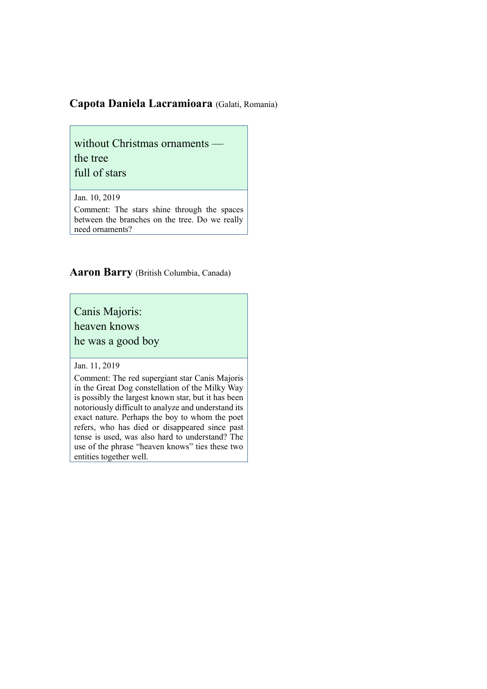#### **Capota Daniela Lacramioara** (Galati, Romania)

without Christmas ornaments the tree full of stars

Jan. 10, 2019

Comment: The stars shine through the spaces between the branches on the tree. Do we really need ornaments?

**Aaron Barry** (British Columbia, Canada)

Canis Majoris:

heaven knows

he was a good boy

Jan. 11, 2019

Comment: The red supergiant star Canis Majoris in the Great Dog constellation of the Milky Way is possibly the largest known star, but it has been notoriously difficult to analyze and understand its exact nature. Perhaps the boy to whom the poet refers, who has died or disappeared since past tense is used, was also hard to understand? The use of the phrase "heaven knows" ties these two entities together well.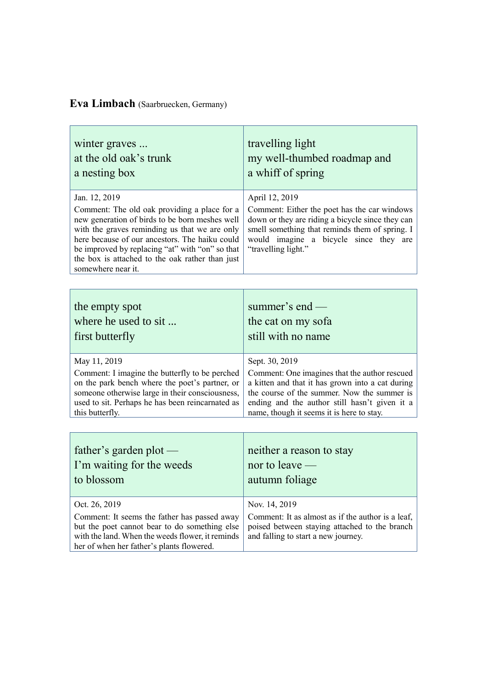## **Eva Limbach** (Saarbruecken, Germany)

| winter graves                                                                                                                                                                                                                                                                                                                                  | travelling light                                                                                                                                                                                                                      |
|------------------------------------------------------------------------------------------------------------------------------------------------------------------------------------------------------------------------------------------------------------------------------------------------------------------------------------------------|---------------------------------------------------------------------------------------------------------------------------------------------------------------------------------------------------------------------------------------|
| at the old oak's trunk                                                                                                                                                                                                                                                                                                                         | my well-thumbed roadmap and                                                                                                                                                                                                           |
| a nesting box                                                                                                                                                                                                                                                                                                                                  | a whiff of spring                                                                                                                                                                                                                     |
| Jan. 12, 2019<br>Comment: The old oak providing a place for a<br>new generation of birds to be born meshes well<br>with the graves reminding us that we are only<br>here because of our ancestors. The haiku could<br>be improved by replacing "at" with "on" so that<br>the box is attached to the oak rather than just<br>somewhere near it. | April 12, 2019<br>Comment: Either the poet has the car windows<br>down or they are riding a bicycle since they can<br>smell something that reminds them of spring. I<br>would imagine a bicycle since they are<br>"travelling light." |
|                                                                                                                                                                                                                                                                                                                                                |                                                                                                                                                                                                                                       |
| the empty spot                                                                                                                                                                                                                                                                                                                                 | summer's end —                                                                                                                                                                                                                        |
| where he used to sit                                                                                                                                                                                                                                                                                                                           | the cat on my sofa                                                                                                                                                                                                                    |
| first butterfly                                                                                                                                                                                                                                                                                                                                | still with no name                                                                                                                                                                                                                    |
| May 11, 2019                                                                                                                                                                                                                                                                                                                                   | Sept. 30, 2019                                                                                                                                                                                                                        |
| Comment: I imagine the butterfly to be perched                                                                                                                                                                                                                                                                                                 | Comment: One imagines that the author rescued                                                                                                                                                                                         |
| on the park bench where the poet's partner, or                                                                                                                                                                                                                                                                                                 | a kitten and that it has grown into a cat during                                                                                                                                                                                      |
| someone otherwise large in their consciousness,                                                                                                                                                                                                                                                                                                | the course of the summer. Now the summer is                                                                                                                                                                                           |
| used to sit. Perhaps he has been reincarnated as                                                                                                                                                                                                                                                                                               | ending and the author still hasn't given it a                                                                                                                                                                                         |
| this butterfly.                                                                                                                                                                                                                                                                                                                                | name, though it seems it is here to stay.                                                                                                                                                                                             |
| father's garden plot $-$                                                                                                                                                                                                                                                                                                                       | neither a reason to stay                                                                                                                                                                                                              |
| I'm waiting for the weeds                                                                                                                                                                                                                                                                                                                      | nor to leave $-$                                                                                                                                                                                                                      |
| to blossom                                                                                                                                                                                                                                                                                                                                     | autumn foliage                                                                                                                                                                                                                        |

| Oct. 26, 2019                                                                                    | Nov. 14, 2019 |
|--------------------------------------------------------------------------------------------------|---------------|
| Comment: It seems the father has passed away   Comment: It as almost as if the author is a leaf, |               |
| but the poet cannot bear to do something else poised between staying attached to the branch      |               |
| with the land. When the weeds flower, it reminds and falling to start a new journey.             |               |
| her of when her father's plants flowered.                                                        |               |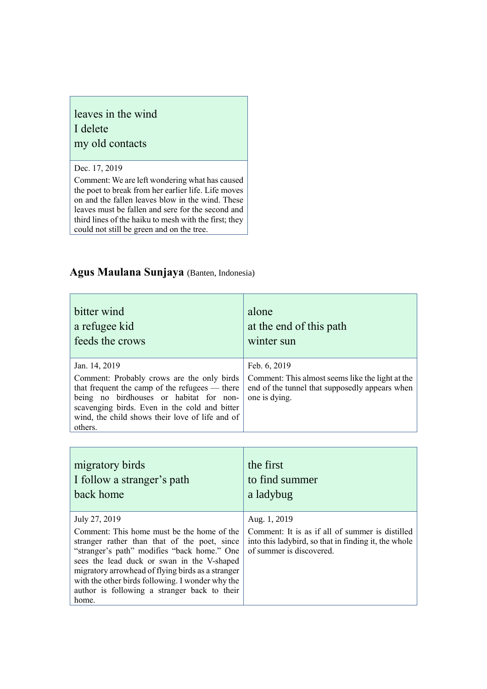## leaves in the wind I delete my old contacts

#### Dec. 17, 2019

Comment: We are left wondering what has caused the poet to break from her earlier life. Life moves on and the fallen leaves blow in the wind. These leaves must be fallen and sere for the second and third lines of the haiku to mesh with the first; they could not still be green and on the tree.

#### **Agus Maulana Sunjaya** (Banten, Indonesia)

| bitter wind<br>a refugee kid<br>feeds the crows                                                                                                                                                                                                        | alone<br>at the end of this path<br>winter sun                                                                      |
|--------------------------------------------------------------------------------------------------------------------------------------------------------------------------------------------------------------------------------------------------------|---------------------------------------------------------------------------------------------------------------------|
| Jan. 14, 2019                                                                                                                                                                                                                                          | Feb. 6, 2019                                                                                                        |
| Comment: Probably crows are the only birds<br>that frequent the camp of the refugees — there<br>being no birdhouses or habitat for non-<br>scavenging birds. Even in the cold and bitter<br>wind, the child shows their love of life and of<br>others. | Comment: This almost seems like the light at the<br>end of the tunnel that supposedly appears when<br>one is dying. |

| migratory birds                                                                                                                                                                                                                                                                                                                                                            | the first                                                                                                                                           |
|----------------------------------------------------------------------------------------------------------------------------------------------------------------------------------------------------------------------------------------------------------------------------------------------------------------------------------------------------------------------------|-----------------------------------------------------------------------------------------------------------------------------------------------------|
| I follow a stranger's path                                                                                                                                                                                                                                                                                                                                                 | to find summer                                                                                                                                      |
| back home                                                                                                                                                                                                                                                                                                                                                                  | a ladybug                                                                                                                                           |
| July 27, 2019<br>Comment: This home must be the home of the<br>stranger rather than that of the poet, since<br>"stranger's path" modifies "back home." One<br>sees the lead duck or swan in the V-shaped<br>migratory arrowhead of flying birds as a stranger<br>with the other birds following. I wonder why the<br>author is following a stranger back to their<br>home. | Aug. 1, 2019<br>Comment: It is as if all of summer is distilled<br>into this ladybird, so that in finding it, the whole<br>of summer is discovered. |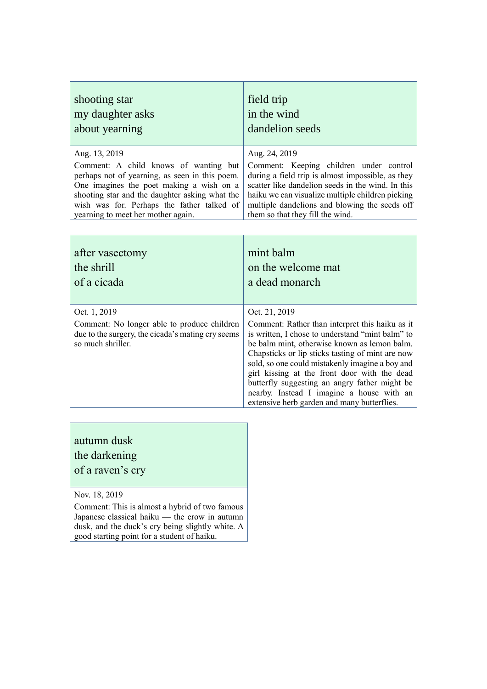| shooting star                                  | field trip                                        |
|------------------------------------------------|---------------------------------------------------|
| my daughter asks                               | in the wind                                       |
| about yearning                                 | dandelion seeds                                   |
| Aug. 13, 2019                                  | Aug. 24, 2019                                     |
| Comment: A child knows of wanting but          | Comment: Keeping children under control           |
| perhaps not of yearning, as seen in this poem. | during a field trip is almost impossible, as they |
| One imagines the poet making a wish on a       | scatter like dandelion seeds in the wind. In this |
| shooting star and the daughter asking what the | haiku we can visualize multiple children picking  |
| wish was for. Perhaps the father talked of     | multiple dandelions and blowing the seeds off     |
| yearning to meet her mother again.             | them so that they fill the wind.                  |

| after vasectomy                                                                                                                       | mint balm                                                                                                                                                                                                                                                                                                                                                                                                                                                                |
|---------------------------------------------------------------------------------------------------------------------------------------|--------------------------------------------------------------------------------------------------------------------------------------------------------------------------------------------------------------------------------------------------------------------------------------------------------------------------------------------------------------------------------------------------------------------------------------------------------------------------|
| the shrill                                                                                                                            | on the welcome mat                                                                                                                                                                                                                                                                                                                                                                                                                                                       |
| of a cicada                                                                                                                           | a dead monarch                                                                                                                                                                                                                                                                                                                                                                                                                                                           |
| Oct. 1, 2019<br>Comment: No longer able to produce children<br>due to the surgery, the cicada's mating cry seems<br>so much shriller. | Oct. 21, 2019<br>Comment: Rather than interpret this haiku as it<br>is written, I chose to understand "mint balm" to<br>be balm mint, otherwise known as lemon balm.<br>Chapsticks or lip sticks tasting of mint are now<br>sold, so one could mistakenly imagine a boy and<br>girl kissing at the front door with the dead<br>butterfly suggesting an angry father might be<br>nearby. Instead I imagine a house with an<br>extensive herb garden and many butterflies. |

autumn dusk the darkening of a raven's cry

Nov. 18, 2019

Comment: This is almost a hybrid of two famous Japanese classical haiku — the crow in autumn dusk, and the duck's cry being slightly white. A good starting point for a student of haiku.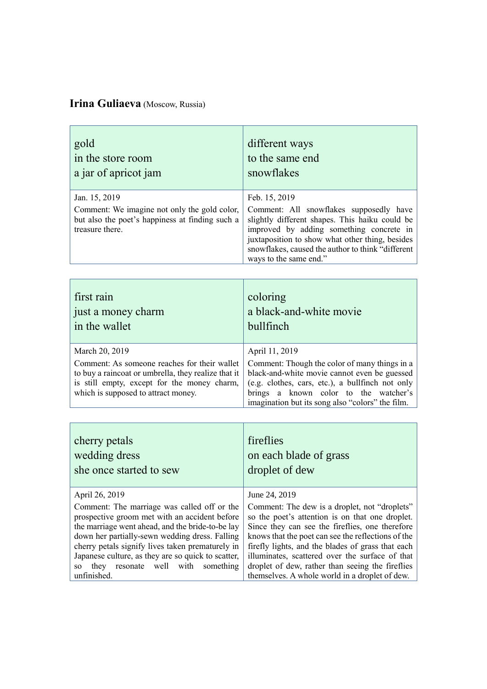## **Irina Guliaeva** (Moscow, Russia)

| gold                                                                                                                                | different ways                                                                                                                                                                                                                                                                           |
|-------------------------------------------------------------------------------------------------------------------------------------|------------------------------------------------------------------------------------------------------------------------------------------------------------------------------------------------------------------------------------------------------------------------------------------|
| in the store room                                                                                                                   | to the same end                                                                                                                                                                                                                                                                          |
| a jar of apricot jam                                                                                                                | snowflakes                                                                                                                                                                                                                                                                               |
| Jan. 15, 2019<br>Comment: We imagine not only the gold color,<br>but also the poet's happiness at finding such a<br>treasure there. | Feb. 15, 2019<br>Comment: All snowflakes supposedly have<br>slightly different shapes. This haiku could be<br>improved by adding something concrete in<br>juxtaposition to show what other thing, besides<br>snowflakes, caused the author to think "different<br>ways to the same end." |

| first rain<br>just a money charm<br>in the wallet                                                                                                                                         | coloring<br>a black-and-white movie<br>bullfinch                                                                                                                                                                                               |
|-------------------------------------------------------------------------------------------------------------------------------------------------------------------------------------------|------------------------------------------------------------------------------------------------------------------------------------------------------------------------------------------------------------------------------------------------|
| March 20, 2019                                                                                                                                                                            | April 11, 2019                                                                                                                                                                                                                                 |
| Comment: As someone reaches for their wallet<br>to buy a raincoat or umbrella, they realize that it<br>is still empty, except for the money charm,<br>which is supposed to attract money. | Comment: Though the color of many things in a<br>black-and-white movie cannot even be guessed<br>(e.g. clothes, cars, etc.), a bullfinch not only<br>brings a known color to the watcher's<br>imagination but its song also "colors" the film. |

| cherry petals<br>wedding dress<br>she once started to sew                                                                                                                                                                                              | fireflies<br>on each blade of grass<br>droplet of dew                                                                                                                                                                                                          |
|--------------------------------------------------------------------------------------------------------------------------------------------------------------------------------------------------------------------------------------------------------|----------------------------------------------------------------------------------------------------------------------------------------------------------------------------------------------------------------------------------------------------------------|
| April 26, 2019                                                                                                                                                                                                                                         | June 24, 2019                                                                                                                                                                                                                                                  |
| Comment: The marriage was called off or the<br>prospective groom met with an accident before<br>the marriage went ahead, and the bride-to-be lay<br>down her partially-sewn wedding dress. Falling<br>cherry petals signify lives taken prematurely in | Comment: The dew is a droplet, not "droplets"<br>so the poet's attention is on that one droplet.<br>Since they can see the fireflies, one therefore<br>knows that the poet can see the reflections of the<br>firefly lights, and the blades of grass that each |
| Japanese culture, as they are so quick to scatter,                                                                                                                                                                                                     | illuminates, scattered over the surface of that                                                                                                                                                                                                                |
| resonate well with something<br>they<br>SO.<br>unfinished.                                                                                                                                                                                             | droplet of dew, rather than seeing the fireflies<br>themselves. A whole world in a droplet of dew.                                                                                                                                                             |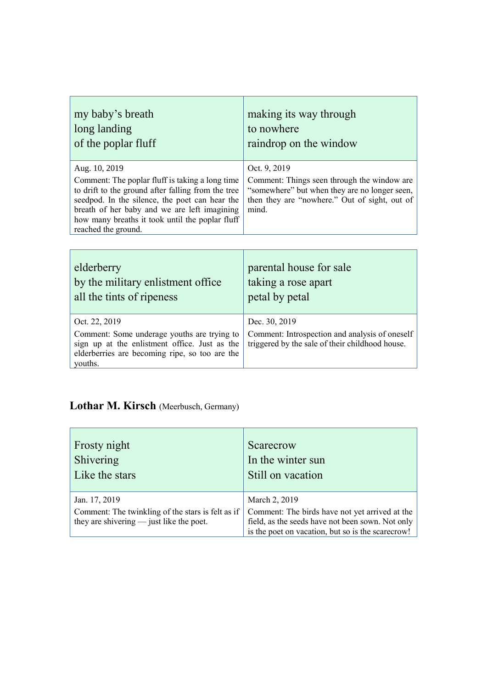| my baby's breath                                                                                                                                                                                                                                                                                   | making its way through                                                                                                                                                 |
|----------------------------------------------------------------------------------------------------------------------------------------------------------------------------------------------------------------------------------------------------------------------------------------------------|------------------------------------------------------------------------------------------------------------------------------------------------------------------------|
| long landing                                                                                                                                                                                                                                                                                       | to nowhere                                                                                                                                                             |
| of the poplar fluff                                                                                                                                                                                                                                                                                | raindrop on the window                                                                                                                                                 |
| Aug. 10, 2019<br>Comment: The poplar fluff is taking a long time<br>to drift to the ground after falling from the tree<br>seedpod. In the silence, the poet can hear the<br>breath of her baby and we are left imagining<br>how many breaths it took until the poplar fluff<br>reached the ground. | Oct. 9, 2019<br>Comment: Things seen through the window are<br>"somewhere" but when they are no longer seen,<br>then they are "nowhere." Out of sight, out of<br>mind. |

 $\overline{1}$ 

| elderberry                                                                                                                                                                 | parental house for sale                                                                                            |
|----------------------------------------------------------------------------------------------------------------------------------------------------------------------------|--------------------------------------------------------------------------------------------------------------------|
| by the military enlistment office                                                                                                                                          | taking a rose apart                                                                                                |
| all the tints of ripeness                                                                                                                                                  | petal by petal                                                                                                     |
| Oct. 22, 2019<br>Comment: Some underage youths are trying to<br>sign up at the enlistment office. Just as the<br>elderberries are becoming ripe, so too are the<br>youths. | Dec. 30, 2019<br>Comment: Introspection and analysis of oneself<br>triggered by the sale of their childhood house. |

# **Lothar M. Kirsch** (Meerbusch, Germany)

 $\mathbf{r}$ 

| Frosty night                                      | Scarecrow                                         |
|---------------------------------------------------|---------------------------------------------------|
| Shivering                                         | In the winter sun                                 |
| Like the stars                                    | Still on vacation                                 |
| Jan. 17, 2019                                     | March 2, 2019                                     |
| Comment: The twinkling of the stars is felt as if | Comment: The birds have not yet arrived at the    |
| they are shive $\frac{1}{2}$ iust like the poet.  | field, as the seeds have not been sown. Not only  |
|                                                   | is the poet on vacation, but so is the scarecrow! |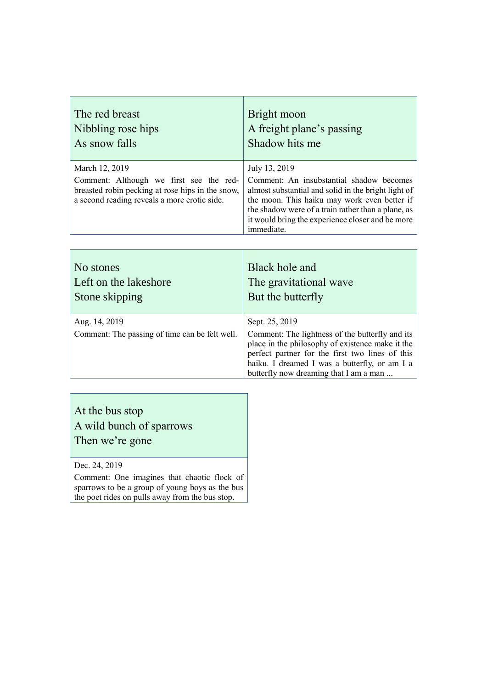| The red breast                                                                                                                                                | Bright moon                                                                                                                                                                                                                                                                              |
|---------------------------------------------------------------------------------------------------------------------------------------------------------------|------------------------------------------------------------------------------------------------------------------------------------------------------------------------------------------------------------------------------------------------------------------------------------------|
| Nibbling rose hips                                                                                                                                            | A freight plane's passing                                                                                                                                                                                                                                                                |
| As snow falls                                                                                                                                                 | Shadow hits me                                                                                                                                                                                                                                                                           |
| March 12, 2019<br>Comment: Although we first see the red-<br>breasted robin pecking at rose hips in the snow,<br>a second reading reveals a more erotic side. | July 13, 2019<br>Comment: An insubstantial shadow becomes<br>almost substantial and solid in the bright light of<br>the moon. This haiku may work even better if<br>the shadow were of a train rather than a plane, as<br>it would bring the experience closer and be more<br>immediate. |

| No stones                                                       | Black hole and                                                                                                                                                                                                                                                      |
|-----------------------------------------------------------------|---------------------------------------------------------------------------------------------------------------------------------------------------------------------------------------------------------------------------------------------------------------------|
| Left on the lakeshore                                           | The gravitational wave                                                                                                                                                                                                                                              |
| Stone skipping                                                  | But the butterfly                                                                                                                                                                                                                                                   |
| Aug. 14, 2019<br>Comment: The passing of time can be felt well. | Sept. 25, 2019<br>Comment: The lightness of the butterfly and its<br>place in the philosophy of existence make it the<br>perfect partner for the first two lines of this<br>haiku. I dreamed I was a butterfly, or am I a<br>butterfly now dreaming that I am a man |

## At the bus stop A wild bunch of sparrows Then we're gone

Dec. 24, 2019

Comment: One imagines that chaotic flock of sparrows to be a group of young boys as the bus the poet rides on pulls away from the bus stop.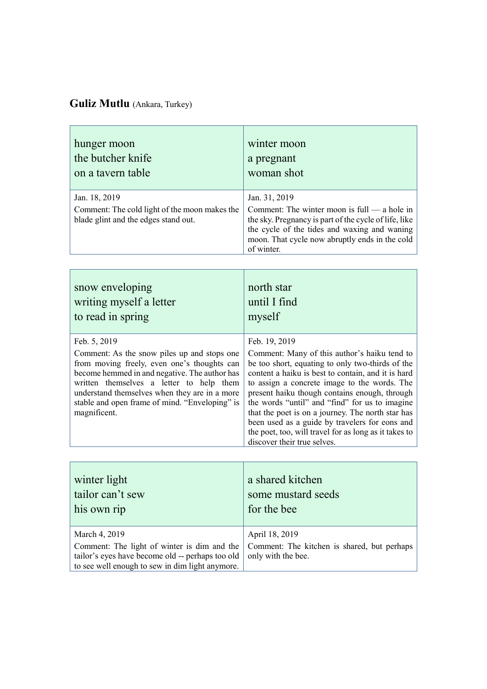## **Guliz Mutlu** (Ankara, Turkey)

| hunger moon                                                                                            | winter moon                                                                                                                                                                                                                              |
|--------------------------------------------------------------------------------------------------------|------------------------------------------------------------------------------------------------------------------------------------------------------------------------------------------------------------------------------------------|
| the butcher knife                                                                                      | a pregnant                                                                                                                                                                                                                               |
| on a tavern table                                                                                      | woman shot                                                                                                                                                                                                                               |
| Jan. 18, 2019<br>Comment: The cold light of the moon makes the<br>blade glint and the edges stand out. | Jan. 31, 2019<br>Comment: The winter moon is $full - a$ hole in<br>the sky. Pregnancy is part of the cycle of life, like<br>the cycle of the tides and waxing and waning<br>moon. That cycle now abruptly ends in the cold<br>of winter. |

| snow enveloping<br>writing myself a letter<br>to read in spring                                                                                                                                                                                                                                            | north star<br>until I find<br>myself                                                                                                                                                                                                                                                                                                                                                                                                                                                                     |
|------------------------------------------------------------------------------------------------------------------------------------------------------------------------------------------------------------------------------------------------------------------------------------------------------------|----------------------------------------------------------------------------------------------------------------------------------------------------------------------------------------------------------------------------------------------------------------------------------------------------------------------------------------------------------------------------------------------------------------------------------------------------------------------------------------------------------|
| Feb. 5, 2019                                                                                                                                                                                                                                                                                               | Feb. 19, 2019                                                                                                                                                                                                                                                                                                                                                                                                                                                                                            |
| Comment: As the snow piles up and stops one<br>from moving freely, even one's thoughts can<br>become hemmed in and negative. The author has<br>written themselves a letter to help them<br>understand themselves when they are in a more<br>stable and open frame of mind. "Enveloping" is<br>magnificent. | Comment: Many of this author's haiku tend to<br>be too short, equating to only two-thirds of the<br>content a haiku is best to contain, and it is hard<br>to assign a concrete image to the words. The<br>present haiku though contains enough, through<br>the words "until" and "find" for us to imagine<br>that the poet is on a journey. The north star has<br>been used as a guide by travelers for eons and<br>the poet, too, will travel for as long as it takes to<br>discover their true selves. |

| winter light                                                                                                                                                        | a shared kitchen                                                                    |
|---------------------------------------------------------------------------------------------------------------------------------------------------------------------|-------------------------------------------------------------------------------------|
| tailor can't sew                                                                                                                                                    | some mustard seeds                                                                  |
| his own rip                                                                                                                                                         | for the bee                                                                         |
| March 4, 2019<br>Comment: The light of winter is dim and the<br>tailor's eyes have become old -- perhaps too old<br>to see well enough to sew in dim light anymore. | April 18, 2019<br>Comment: The kitchen is shared, but perhaps<br>only with the bee. |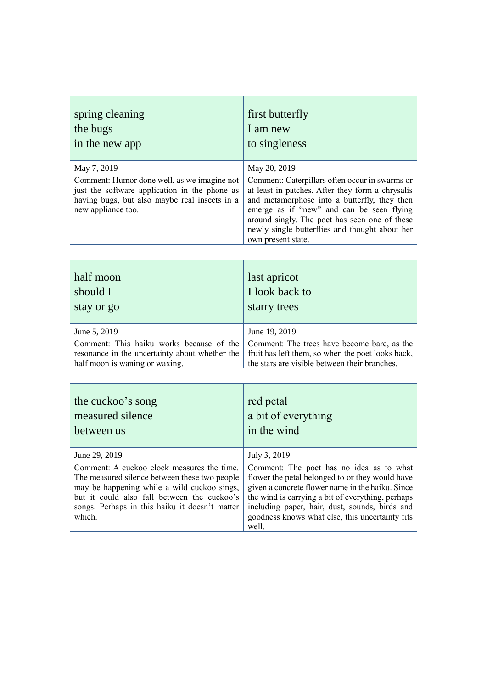| spring cleaning                                                                                                                                                                    | first butterfly                                                                                                                                                                                                                                                                                                                          |
|------------------------------------------------------------------------------------------------------------------------------------------------------------------------------------|------------------------------------------------------------------------------------------------------------------------------------------------------------------------------------------------------------------------------------------------------------------------------------------------------------------------------------------|
| the bugs                                                                                                                                                                           | I am new                                                                                                                                                                                                                                                                                                                                 |
| in the new app                                                                                                                                                                     | to singleness                                                                                                                                                                                                                                                                                                                            |
| May 7, 2019<br>Comment: Humor done well, as we imagine not<br>just the software application in the phone as<br>having bugs, but also maybe real insects in a<br>new appliance too. | May 20, 2019<br>Comment: Caterpillars often occur in swarms or<br>at least in patches. After they form a chrysalis<br>and metamorphose into a butterfly, they then<br>emerge as if "new" and can be seen flying<br>around singly. The poet has seen one of these<br>newly single butterflies and thought about her<br>own present state. |

| half moon                                      | last apricot                                      |
|------------------------------------------------|---------------------------------------------------|
| should I                                       | I look back to                                    |
| stay or go                                     | starry trees                                      |
| June 5, 2019                                   | June 19, 2019                                     |
| Comment: This haiku works because of the       | Comment: The trees have become bare, as the       |
| resonance in the uncertainty about whether the | fruit has left them, so when the poet looks back, |
| half moon is waning or waxing.                 | the stars are visible between their branches.     |

and the second

| the cuckoo's song<br>measured silence<br>between us                                                                                                                                                                                                   | red petal<br>a bit of everything<br>in the wind                                                                                                                                                                                                                                                                    |
|-------------------------------------------------------------------------------------------------------------------------------------------------------------------------------------------------------------------------------------------------------|--------------------------------------------------------------------------------------------------------------------------------------------------------------------------------------------------------------------------------------------------------------------------------------------------------------------|
| June 29, 2019                                                                                                                                                                                                                                         | July 3, 2019                                                                                                                                                                                                                                                                                                       |
| Comment: A cuckoo clock measures the time.<br>The measured silence between these two people<br>may be happening while a wild cuckoo sings,<br>but it could also fall between the cuckoo's<br>songs. Perhaps in this haiku it doesn't matter<br>which. | Comment: The poet has no idea as to what<br>flower the petal belonged to or they would have<br>given a concrete flower name in the haiku. Since<br>the wind is carrying a bit of everything, perhaps<br>including paper, hair, dust, sounds, birds and<br>goodness knows what else, this uncertainty fits<br>well. |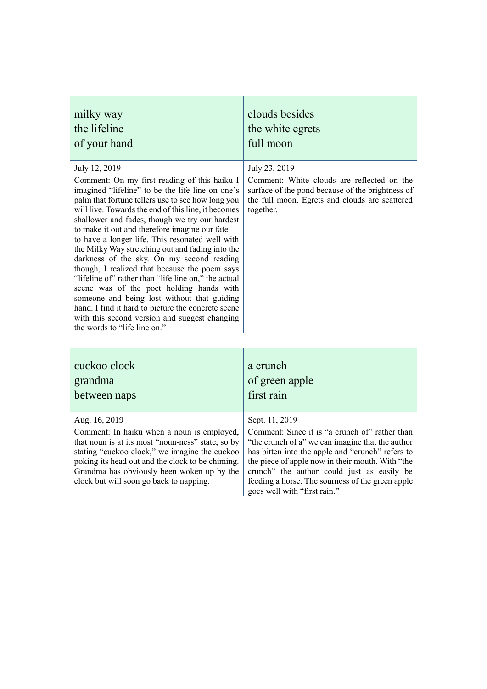| milky way                                                                                                                                                                                                                                                                                                                                                                                                                                                                                                                                                                                                                                                                                                                                                                                                                         | clouds besides                                                                                                                                                                 |
|-----------------------------------------------------------------------------------------------------------------------------------------------------------------------------------------------------------------------------------------------------------------------------------------------------------------------------------------------------------------------------------------------------------------------------------------------------------------------------------------------------------------------------------------------------------------------------------------------------------------------------------------------------------------------------------------------------------------------------------------------------------------------------------------------------------------------------------|--------------------------------------------------------------------------------------------------------------------------------------------------------------------------------|
| the lifeline                                                                                                                                                                                                                                                                                                                                                                                                                                                                                                                                                                                                                                                                                                                                                                                                                      | the white egrets                                                                                                                                                               |
| of your hand                                                                                                                                                                                                                                                                                                                                                                                                                                                                                                                                                                                                                                                                                                                                                                                                                      | full moon                                                                                                                                                                      |
| July 12, 2019<br>Comment: On my first reading of this haiku I<br>imagined "lifeline" to be the life line on one's<br>palm that fortune tellers use to see how long you<br>will live. Towards the end of this line, it becomes<br>shallower and fades, though we try our hardest<br>to make it out and therefore imagine our fate —<br>to have a longer life. This resonated well with<br>the Milky Way stretching out and fading into the<br>darkness of the sky. On my second reading<br>though, I realized that because the poem says<br>"lifeline of" rather than "life line on," the actual<br>scene was of the poet holding hands with<br>someone and being lost without that guiding<br>hand. I find it hard to picture the concrete scene<br>with this second version and suggest changing<br>the words to "life line on." | July 23, 2019<br>Comment: White clouds are reflected on the<br>surface of the pond because of the brightness of<br>the full moon. Egrets and clouds are scattered<br>together. |

| cuckoo clock                                                                                                                                                                                                                                                                                                   | a crunch                                                                                                                                                                                                                                                                                                                                                       |
|----------------------------------------------------------------------------------------------------------------------------------------------------------------------------------------------------------------------------------------------------------------------------------------------------------------|----------------------------------------------------------------------------------------------------------------------------------------------------------------------------------------------------------------------------------------------------------------------------------------------------------------------------------------------------------------|
| grandma                                                                                                                                                                                                                                                                                                        | of green apple                                                                                                                                                                                                                                                                                                                                                 |
| between naps                                                                                                                                                                                                                                                                                                   | first rain                                                                                                                                                                                                                                                                                                                                                     |
| Aug. 16, 2019<br>Comment: In haiku when a noun is employed,<br>that noun is at its most "noun-ness" state, so by<br>stating "cuckoo clock," we imagine the cuckoo<br>poking its head out and the clock to be chiming.<br>Grandma has obviously been woken up by the<br>clock but will soon go back to napping. | Sept. 11, 2019<br>Comment: Since it is "a crunch of" rather than<br>"the crunch of a" we can imagine that the author<br>has bitten into the apple and "crunch" refers to<br>the piece of apple now in their mouth. With "the<br>crunch" the author could just as easily be<br>feeding a horse. The sourness of the green apple<br>goes well with "first rain." |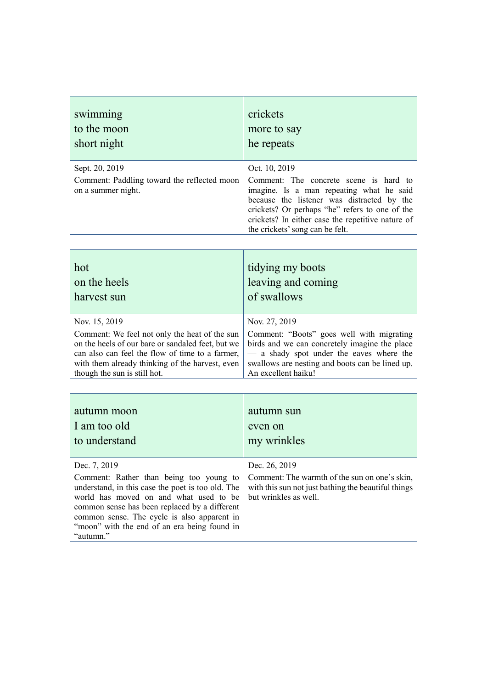| swimming                                                                            | crickets                                                                                                                                                                                                                                                                                    |
|-------------------------------------------------------------------------------------|---------------------------------------------------------------------------------------------------------------------------------------------------------------------------------------------------------------------------------------------------------------------------------------------|
| to the moon                                                                         | more to say                                                                                                                                                                                                                                                                                 |
| short night                                                                         | he repeats                                                                                                                                                                                                                                                                                  |
| Sept. 20, 2019<br>Comment: Paddling toward the reflected moon<br>on a summer night. | Oct. 10, 2019<br>Comment: The concrete scene is hard to<br>imagine. Is a man repeating what he said<br>because the listener was distracted by the<br>crickets? Or perhaps "he" refers to one of the<br>crickets? In either case the repetitive nature of<br>the crickets' song can be felt. |

| hot                                               | tidying my boots                                |
|---------------------------------------------------|-------------------------------------------------|
| on the heels                                      | leaving and coming                              |
| harvest sun                                       | of swallows                                     |
| Nov. 15, 2019                                     | Nov. 27, 2019                                   |
| Comment: We feel not only the heat of the sun     | Comment: "Boots" goes well with migrating       |
| on the heels of our bare or sandaled feet, but we | birds and we can concretely imagine the place   |
| can also can feel the flow of time to a farmer,   | - a shady spot under the eaves where the        |
| with them already thinking of the harvest, even   | swallows are nesting and boots can be lined up. |
| though the sun is still hot.                      | An excellent haiku!                             |

T

| autumn moon                                                                                                                                                                                                                                                                                                         | autumn sun                                                                                                                                     |
|---------------------------------------------------------------------------------------------------------------------------------------------------------------------------------------------------------------------------------------------------------------------------------------------------------------------|------------------------------------------------------------------------------------------------------------------------------------------------|
| I am too old                                                                                                                                                                                                                                                                                                        | even on                                                                                                                                        |
| to understand                                                                                                                                                                                                                                                                                                       | my wrinkles                                                                                                                                    |
| Dec. 7, 2019<br>Comment: Rather than being too young to<br>understand, in this case the poet is too old. The<br>world has moved on and what used to be<br>common sense has been replaced by a different<br>common sense. The cycle is also apparent in<br>"moon" with the end of an era being found in<br>"autumn." | Dec. 26, 2019<br>Comment: The warmth of the sun on one's skin,<br>with this sun not just bathing the beautiful things<br>but wrinkles as well. |

 $\top$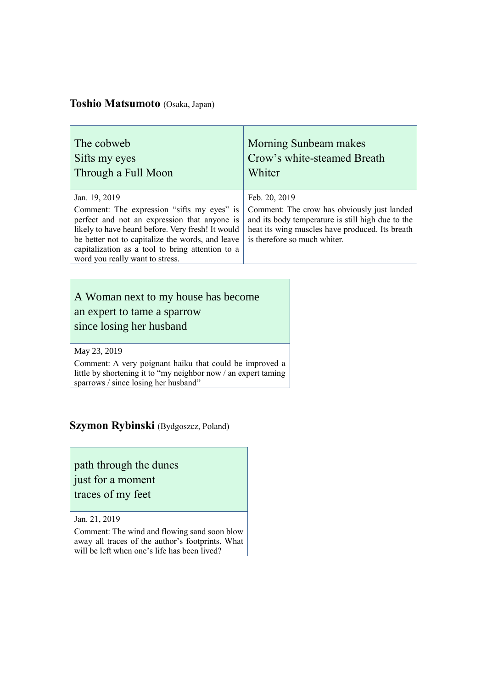#### **Toshio Matsumoto** (Osaka, Japan)

| The cobweb                                                                                                                                                                                                                                                                                                  | Morning Sunbeam makes                                                                                                                                                                                |
|-------------------------------------------------------------------------------------------------------------------------------------------------------------------------------------------------------------------------------------------------------------------------------------------------------------|------------------------------------------------------------------------------------------------------------------------------------------------------------------------------------------------------|
| Sifts my eyes                                                                                                                                                                                                                                                                                               | Crow's white-steamed Breath                                                                                                                                                                          |
| Through a Full Moon                                                                                                                                                                                                                                                                                         | Whiter                                                                                                                                                                                               |
| Jan. 19, 2019<br>Comment: The expression "sifts my eyes" is<br>perfect and not an expression that anyone is<br>likely to have heard before. Very fresh! It would<br>be better not to capitalize the words, and leave<br>capitalization as a tool to bring attention to a<br>word you really want to stress. | Feb. 20, 2019<br>Comment: The crow has obviously just landed<br>and its body temperature is still high due to the<br>heat its wing muscles have produced. Its breath<br>is therefore so much whiter. |

#### A Woman next to my house has become an expert to tame a sparrow

since losing her husband

May 23, 2019

Comment: A very poignant haiku that could be improved a little by shortening it to "my neighbor now / an expert taming sparrows / since losing her husband"

#### **Szymon Rybinski** (Bydgoszcz, Poland)

path through the dunes

just for a moment

traces of my feet

Jan. 21, 2019

Comment: The wind and flowing sand soon blow away all traces of the author's footprints. What will be left when one's life has been lived?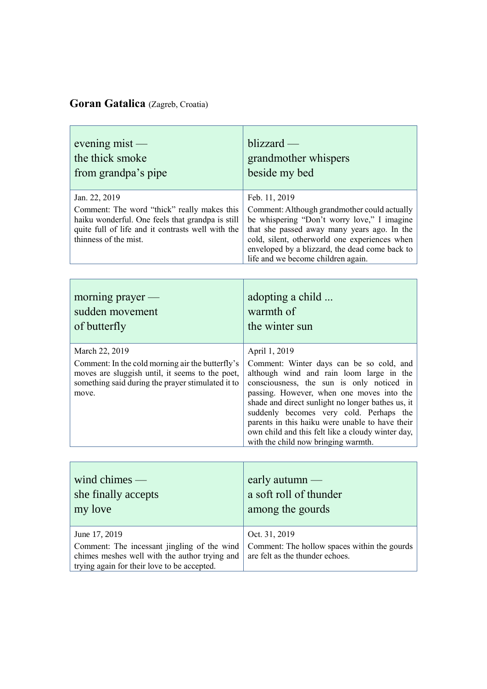## **Goran Gatalica** (Zagreb, Croatia)

r.

| evening $mist$ —                                                                                                                                                                               | blizzard -                                                                                                                                                                                                                                                                                                                                                                                                                                     |
|------------------------------------------------------------------------------------------------------------------------------------------------------------------------------------------------|------------------------------------------------------------------------------------------------------------------------------------------------------------------------------------------------------------------------------------------------------------------------------------------------------------------------------------------------------------------------------------------------------------------------------------------------|
| the thick smoke                                                                                                                                                                                | grandmother whispers                                                                                                                                                                                                                                                                                                                                                                                                                           |
| from grandpa's pipe                                                                                                                                                                            | beside my bed                                                                                                                                                                                                                                                                                                                                                                                                                                  |
| Jan. 22, 2019<br>Comment: The word "thick" really makes this<br>haiku wonderful. One feels that grandpa is still<br>quite full of life and it contrasts well with the<br>thinness of the mist. | Feb. 11, 2019<br>Comment: Although grandmother could actually<br>be whispering "Don't worry love," I imagine<br>that she passed away many years ago. In the<br>cold, silent, otherworld one experiences when<br>enveloped by a blizzard, the dead come back to<br>life and we become children again.                                                                                                                                           |
| morning prayer $-$                                                                                                                                                                             | adopting a child                                                                                                                                                                                                                                                                                                                                                                                                                               |
| sudden movement                                                                                                                                                                                | warmth of                                                                                                                                                                                                                                                                                                                                                                                                                                      |
| of butterfly                                                                                                                                                                                   | the winter sun                                                                                                                                                                                                                                                                                                                                                                                                                                 |
| March 22, 2019<br>Comment: In the cold morning air the butterfly's<br>moves are sluggish until, it seems to the poet,<br>something said during the prayer stimulated it to<br>move.            | April 1, 2019<br>Comment: Winter days can be so cold, and<br>although wind and rain loom large in the<br>consciousness, the sun is only noticed in<br>passing. However, when one moves into the<br>shade and direct sunlight no longer bathes us, it<br>suddenly becomes very cold. Perhaps the<br>parents in this haiku were unable to have their<br>own child and this felt like a cloudy winter day,<br>with the child now bringing warmth. |

| wind chimes $-$<br>she finally accepts<br>my love                                                                                           | early autumn $-$<br>a soft roll of thunder<br>among the gourds                  |
|---------------------------------------------------------------------------------------------------------------------------------------------|---------------------------------------------------------------------------------|
| June 17, 2019                                                                                                                               | Oct. 31, 2019                                                                   |
| Comment: The incessant jingling of the wind<br>chimes meshes well with the author trying and<br>trying again for their love to be accepted. | Comment: The hollow spaces within the gourds<br>are felt as the thunder echoes. |

 $\sim$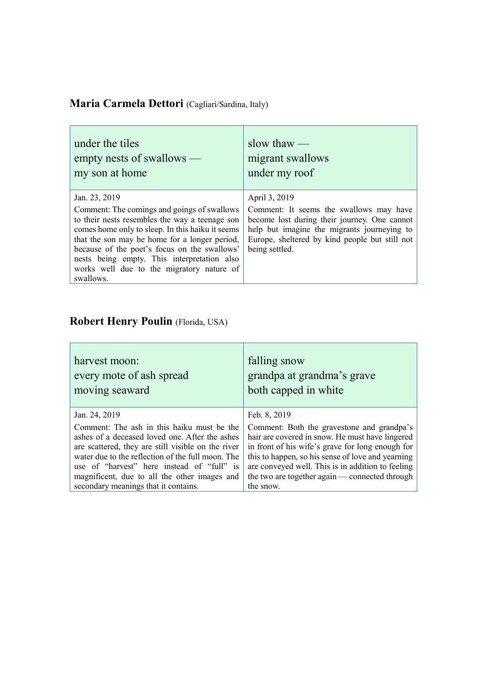# **Maria Carmela Dettori** (Cagliari/Sardina, Italy)

| under the tiles                                                                                                                                                                                                                                                                                                                                                              | slow thaw $-$                                                                                                                                                                                                               |
|------------------------------------------------------------------------------------------------------------------------------------------------------------------------------------------------------------------------------------------------------------------------------------------------------------------------------------------------------------------------------|-----------------------------------------------------------------------------------------------------------------------------------------------------------------------------------------------------------------------------|
| empty nests of swallows —                                                                                                                                                                                                                                                                                                                                                    | migrant swallows                                                                                                                                                                                                            |
| my son at home                                                                                                                                                                                                                                                                                                                                                               | under my roof                                                                                                                                                                                                               |
| Jan. 23, 2019<br>Comment: The comings and goings of swallows<br>to their nests resembles the way a teenage son<br>comes home only to sleep. In this haiku it seems<br>that the son may be home for a longer period,<br>because of the poet's focus on the swallows'<br>nests being empty. This interpretation also<br>works well due to the migratory nature of<br>swallows. | April 3, 2019<br>Comment: It seems the swallows may have<br>become lost during their journey. One cannot<br>help but imagine the migrants journeying to<br>Europe, sheltered by kind people but still not<br>being settled. |

# **Robert Henry Poulin** (Florida, USA)

| harvest moon:                                      | falling snow                                      |
|----------------------------------------------------|---------------------------------------------------|
| every mote of ash spread                           | grandpa at grandma's grave                        |
| moving seaward                                     | both capped in white                              |
| Jan. 24, 2019                                      | Feb. 8, 2019                                      |
| Comment: The ash in this haiku must be the         | Comment: Both the gravestone and grandpa's        |
| ashes of a deceased loved one. After the ashes     | hair are covered in snow. He must have lingered   |
| are scattered, they are still visible on the river | in front of his wife's grave for long enough for  |
| water due to the reflection of the full moon. The  | this to happen, so his sense of love and yearning |
| use of "harvest" here instead of "full" is         | are conveyed well. This is in addition to feeling |
| magnificent, due to all the other images and       | the two are together again — connected through    |
| secondary meanings that it contains.               | the snow.                                         |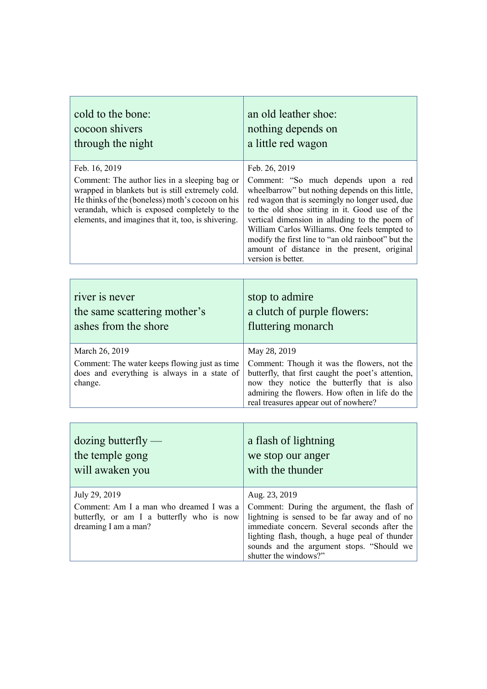| cold to the bone:                                                                                                                                                                                                                                                            | an old leather shoe:                                                                                                                                                                                                                                                                                                                                                                                                                        |
|------------------------------------------------------------------------------------------------------------------------------------------------------------------------------------------------------------------------------------------------------------------------------|---------------------------------------------------------------------------------------------------------------------------------------------------------------------------------------------------------------------------------------------------------------------------------------------------------------------------------------------------------------------------------------------------------------------------------------------|
| cocoon shivers                                                                                                                                                                                                                                                               | nothing depends on                                                                                                                                                                                                                                                                                                                                                                                                                          |
| through the night                                                                                                                                                                                                                                                            | a little red wagon                                                                                                                                                                                                                                                                                                                                                                                                                          |
| Feb. 16, 2019<br>Comment: The author lies in a sleeping bag or<br>wrapped in blankets but is still extremely cold.<br>He thinks of the (boneless) moth's cocoon on his<br>verandah, which is exposed completely to the<br>elements, and imagines that it, too, is shivering. | Feb. 26, 2019<br>Comment: "So much depends upon a red<br>wheelbarrow" but nothing depends on this little,<br>red wagon that is seemingly no longer used, due<br>to the old shoe sitting in it. Good use of the<br>vertical dimension in alluding to the poem of<br>William Carlos Williams. One feels tempted to<br>modify the first line to "an old rainboot" but the<br>amount of distance in the present, original<br>version is better. |

| river is never                                                                                                            | stop to admire                                                                                                                                                                                                                                             |
|---------------------------------------------------------------------------------------------------------------------------|------------------------------------------------------------------------------------------------------------------------------------------------------------------------------------------------------------------------------------------------------------|
| the same scattering mother's                                                                                              | a clutch of purple flowers:                                                                                                                                                                                                                                |
| ashes from the shore                                                                                                      | fluttering monarch                                                                                                                                                                                                                                         |
| March 26, 2019<br>Comment: The water keeps flowing just as time<br>does and everything is always in a state of<br>change. | May 28, 2019<br>Comment: Though it was the flowers, not the<br>butterfly, that first caught the poet's attention,<br>now they notice the butterfly that is also<br>admiring the flowers. How often in life do the<br>real treasures appear out of nowhere? |

<u> 1989 - Johann Stoff, amerikansk politiker (\* 1908)</u>

| $\frac{1}{2}$ dozing butterfly —                                                                                              | a flash of lightning                                                                                                                                                                                                                                                                |
|-------------------------------------------------------------------------------------------------------------------------------|-------------------------------------------------------------------------------------------------------------------------------------------------------------------------------------------------------------------------------------------------------------------------------------|
| the temple gong                                                                                                               | we stop our anger                                                                                                                                                                                                                                                                   |
| will awaken you                                                                                                               | with the thunder                                                                                                                                                                                                                                                                    |
| July 29, 2019<br>Comment: Am I a man who dreamed I was a<br>butterfly, or am I a butterfly who is now<br>dreaming I am a man? | Aug. 23, 2019<br>Comment: During the argument, the flash of<br>lightning is sensed to be far away and of no<br>immediate concern. Several seconds after the<br>lighting flash, though, a huge peal of thunder<br>sounds and the argument stops. "Should we<br>shutter the windows?" |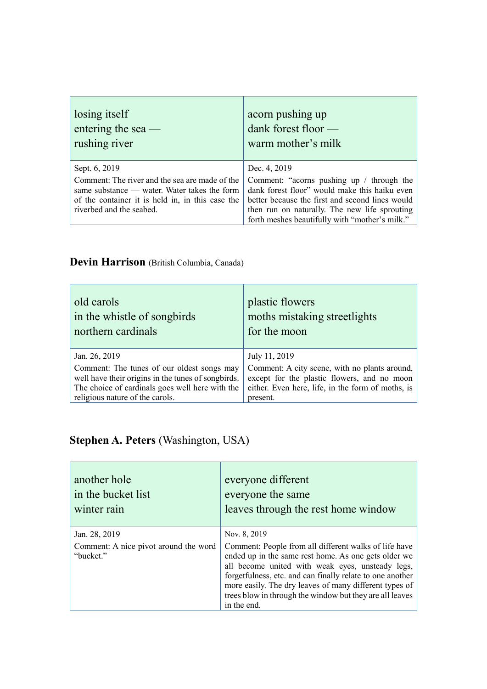| losing itself                                                                                                                                                                                   | acorn pushing up                                                                                                                                                                                                                                                 |
|-------------------------------------------------------------------------------------------------------------------------------------------------------------------------------------------------|------------------------------------------------------------------------------------------------------------------------------------------------------------------------------------------------------------------------------------------------------------------|
| entering the sea $-$                                                                                                                                                                            | dank forest floor -                                                                                                                                                                                                                                              |
| rushing river                                                                                                                                                                                   | warm mother's milk                                                                                                                                                                                                                                               |
| Sept. 6, 2019<br>Comment: The river and the sea are made of the<br>same substance — water. Water takes the form<br>of the container it is held in, in this case the<br>riverbed and the seabed. | Dec. 4, 2019<br>Comment: "acorns pushing up / through the<br>dank forest floor" would make this haiku even<br>better because the first and second lines would<br>then run on naturally. The new life sprouting<br>forth meshes beautifully with "mother's milk." |

 $\sim$ 

## Devin Harrison (British Columbia, Canada)

| old carols                                         | plastic flowers                                   |
|----------------------------------------------------|---------------------------------------------------|
| in the whistle of songbirds                        | moths mistaking streetlights                      |
| northern cardinals                                 | for the moon                                      |
| Jan. 26, 2019                                      | July 11, 2019                                     |
| Comment: The tunes of our oldest songs may         | Comment: A city scene, with no plants around,     |
| well have their origins in the tunes of songbirds. | except for the plastic flowers, and no moon       |
| The choice of cardinals goes well here with the    | either. Even here, life, in the form of moths, is |
| religious nature of the carols.                    | present.                                          |

# **Stephen A. Peters** (Washington, USA)

| another hole<br>in the bucket list<br>winter rain  | everyone different<br>everyone the same<br>leaves through the rest home window                                                                                                                                                                                                                                                                                      |
|----------------------------------------------------|---------------------------------------------------------------------------------------------------------------------------------------------------------------------------------------------------------------------------------------------------------------------------------------------------------------------------------------------------------------------|
| Jan. 28, 2019                                      | Nov. 8, 2019                                                                                                                                                                                                                                                                                                                                                        |
| Comment: A nice pivot around the word<br>"bucket." | Comment: People from all different walks of life have<br>ended up in the same rest home. As one gets older we<br>all become united with weak eyes, unsteady legs,<br>forgetfulness, etc. and can finally relate to one another<br>more easily. The dry leaves of many different types of<br>trees blow in through the window but they are all leaves<br>in the end. |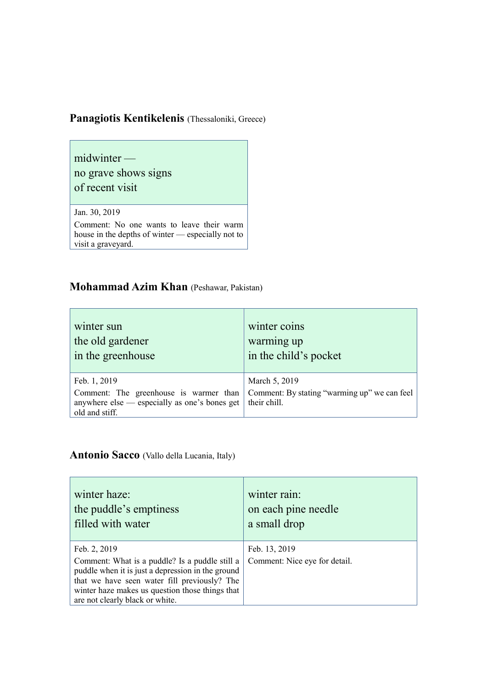## Panagiotis Kentikelenis (Thessaloniki, Greece)

midwinter no grave shows signs of recent visit

Jan. 30, 2019

Comment: No one wants to leave their warm house in the depths of winter — especially not to visit a graveyard.

#### **Mohammad Azim Khan** (Peshawar, Pakistan)

| winter sun                                                                                                                | winter coins                                                                  |
|---------------------------------------------------------------------------------------------------------------------------|-------------------------------------------------------------------------------|
| the old gardener                                                                                                          | warming up                                                                    |
| in the greenhouse                                                                                                         | in the child's pocket                                                         |
| Feb. 1, 2019<br>Comment: The greenhouse is warmer than<br>anywhere else — especially as one's bones get<br>old and stiff. | March 5, 2019<br>Comment: By stating "warming up" we can feel<br>their chill. |

#### **Antonio Sacco** (Vallo della Lucania, Italy)

| winter haze:                                                                                                                                                                                                                                              | winter rain:                                   |
|-----------------------------------------------------------------------------------------------------------------------------------------------------------------------------------------------------------------------------------------------------------|------------------------------------------------|
| the puddle's emptiness                                                                                                                                                                                                                                    | on each pine needle                            |
| filled with water                                                                                                                                                                                                                                         | a small drop                                   |
| Feb. 2, 2019<br>Comment: What is a puddle? Is a puddle still a<br>puddle when it is just a depression in the ground<br>that we have seen water fill previously? The<br>winter haze makes us question those things that<br>are not clearly black or white. | Feb. 13, 2019<br>Comment: Nice eye for detail. |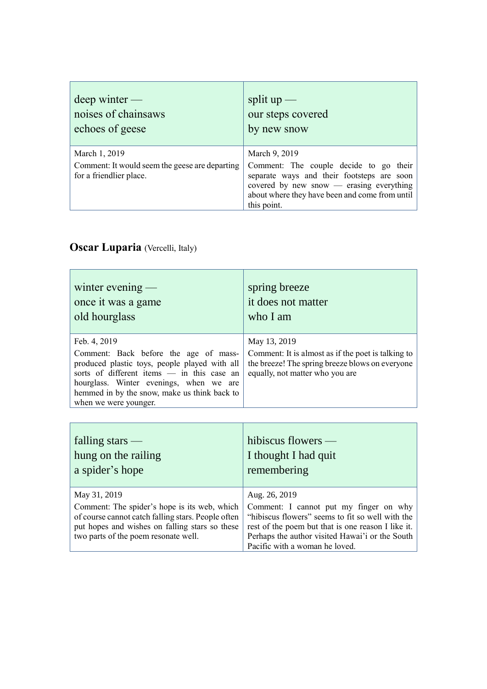| $deep$ winter —                                                                            | split $up$ —                                                                                                                                                                                                       |
|--------------------------------------------------------------------------------------------|--------------------------------------------------------------------------------------------------------------------------------------------------------------------------------------------------------------------|
| noises of chainsaws                                                                        | our steps covered                                                                                                                                                                                                  |
| echoes of geese                                                                            | by new snow                                                                                                                                                                                                        |
| March 1, 2019<br>Comment: It would seem the geese are departing<br>for a friendlier place. | March 9, 2019<br>Comment: The couple decide to go their<br>separate ways and their footsteps are soon<br>covered by new snow — erasing everything<br>about where they have been and come from until<br>this point. |

T

٦

## **Oscar Luparia** (Vercelli, Italy)

 $\Gamma$ 

| winter evening $-$<br>once it was a game<br>old hourglass                                                                                                                                                                                                                | spring breeze<br>it does not matter<br>who I am                                                                                                          |
|--------------------------------------------------------------------------------------------------------------------------------------------------------------------------------------------------------------------------------------------------------------------------|----------------------------------------------------------------------------------------------------------------------------------------------------------|
| Feb. 4, 2019<br>Comment: Back before the age of mass-<br>produced plastic toys, people played with all<br>sorts of different items - in this case an<br>hourglass. Winter evenings, when we are<br>hemmed in by the snow, make us think back to<br>when we were younger. | May 13, 2019<br>Comment: It is almost as if the poet is talking to<br>the breeze! The spring breeze blows on everyone<br>equally, not matter who you are |
|                                                                                                                                                                                                                                                                          |                                                                                                                                                          |
| $\mathcal{C}$ . 11's and $\mathcal{C}$                                                                                                                                                                                                                                   |                                                                                                                                                          |

| falling stars $-$<br>hung on the railing<br>a spider's hope                                                                                                                                  | hibiscus flowers $-$<br>I thought I had quit<br>remembering                                                                                                                                                                           |
|----------------------------------------------------------------------------------------------------------------------------------------------------------------------------------------------|---------------------------------------------------------------------------------------------------------------------------------------------------------------------------------------------------------------------------------------|
| May 31, 2019                                                                                                                                                                                 | Aug. 26, 2019                                                                                                                                                                                                                         |
| Comment: The spider's hope is its web, which<br>of course cannot catch falling stars. People often<br>put hopes and wishes on falling stars so these<br>two parts of the poem resonate well. | Comment: I cannot put my finger on why<br>"hibiscus flowers" seems to fit so well with the<br>rest of the poem but that is one reason I like it.<br>Perhaps the author visited Hawai'i or the South<br>Pacific with a woman he loved. |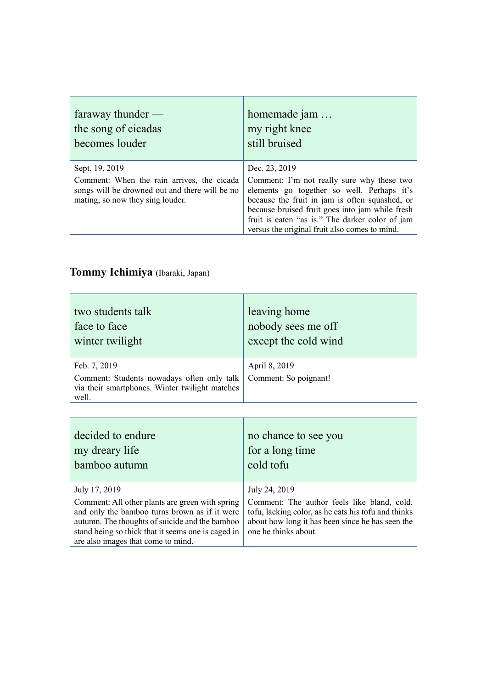| faraway thunder $-$                                                                                                                                | homemade jam                                                                                                                                                                                                                                                                                                       |
|----------------------------------------------------------------------------------------------------------------------------------------------------|--------------------------------------------------------------------------------------------------------------------------------------------------------------------------------------------------------------------------------------------------------------------------------------------------------------------|
| the song of cicadas                                                                                                                                | my right knee                                                                                                                                                                                                                                                                                                      |
| becomes louder                                                                                                                                     | still bruised                                                                                                                                                                                                                                                                                                      |
| Sept. 19, 2019<br>Comment: When the rain arrives, the cicada<br>songs will be drowned out and there will be no<br>mating, so now they sing louder. | Dec. 23, 2019<br>Comment: I'm not really sure why these two<br>elements go together so well. Perhaps it's<br>because the fruit in jam is often squashed, or<br>because bruised fruit goes into jam while fresh<br>fruit is eaten "as is." The darker color of jam<br>versus the original fruit also comes to mind. |

# **Tommy Ichimiya** (Ibaraki, Japan)

**F** 

| two students talk                                                                                                     | leaving home                           |
|-----------------------------------------------------------------------------------------------------------------------|----------------------------------------|
| face to face                                                                                                          | nobody sees me off                     |
| winter twilight                                                                                                       | except the cold wind                   |
| Feb. 7, 2019<br>Comment: Students nowadays often only talk<br>via their smartphones. Winter twilight matches<br>well. | April 8, 2019<br>Comment: So poignant! |

| decided to endure                                  | no chance to see you                                |
|----------------------------------------------------|-----------------------------------------------------|
| my dreary life                                     | for a long time                                     |
| bamboo autumn                                      | cold tofu                                           |
| July 17, 2019                                      | July 24, 2019                                       |
| Comment: All other plants are green with spring    | Comment: The author feels like bland, cold,         |
| and only the bamboo turns brown as if it were      | tofu, lacking color, as he eats his tofu and thinks |
| autumn. The thoughts of suicide and the bamboo     | about how long it has been since he has seen the    |
| stand being so thick that it seems one is caged in | one he thinks about.                                |
| are also images that come to mind.                 |                                                     |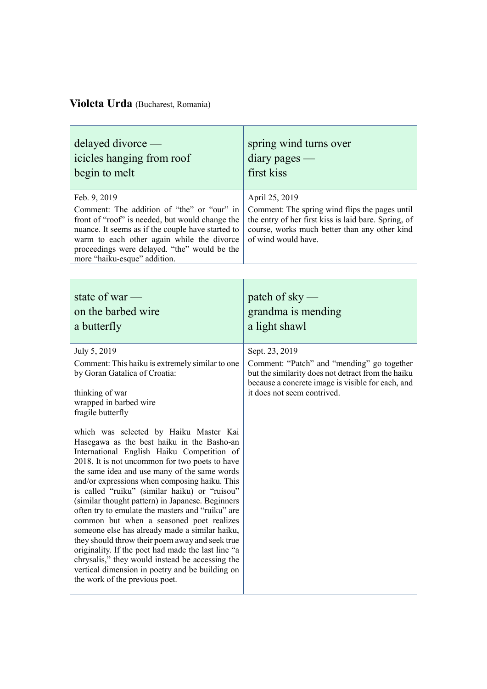## **Violeta Urda** (Bucharest, Romania)

| delayed divorce —<br>icicles hanging from roof<br>begin to melt                                                                                                                                                                                                                                                                                                                                                                                                                                                                                                                                                                                                                                                                                                                               | spring wind turns over<br>$diary$ pages —<br>first kiss                                                                                                                                                |
|-----------------------------------------------------------------------------------------------------------------------------------------------------------------------------------------------------------------------------------------------------------------------------------------------------------------------------------------------------------------------------------------------------------------------------------------------------------------------------------------------------------------------------------------------------------------------------------------------------------------------------------------------------------------------------------------------------------------------------------------------------------------------------------------------|--------------------------------------------------------------------------------------------------------------------------------------------------------------------------------------------------------|
| Feb. 9, 2019<br>Comment: The addition of "the" or "our" in<br>front of "roof" is needed, but would change the<br>nuance. It seems as if the couple have started to<br>warm to each other again while the divorce<br>proceedings were delayed. "the" would be the<br>more "haiku-esque" addition.                                                                                                                                                                                                                                                                                                                                                                                                                                                                                              | April 25, 2019<br>Comment: The spring wind flips the pages until<br>the entry of her first kiss is laid bare. Spring, of<br>course, works much better than any other kind<br>of wind would have.       |
| state of war $-$<br>on the barbed wire<br>a butterfly                                                                                                                                                                                                                                                                                                                                                                                                                                                                                                                                                                                                                                                                                                                                         | patch of sky $-$<br>grandma is mending<br>a light shawl                                                                                                                                                |
| July 5, 2019<br>Comment: This haiku is extremely similar to one<br>by Goran Gatalica of Croatia:<br>thinking of war<br>wrapped in barbed wire<br>fragile butterfly                                                                                                                                                                                                                                                                                                                                                                                                                                                                                                                                                                                                                            | Sept. 23, 2019<br>Comment: "Patch" and "mending" go together<br>but the similarity does not detract from the haiku<br>because a concrete image is visible for each, and<br>it does not seem contrived. |
| which was selected by Haiku Master Kai<br>Hasegawa as the best haiku in the Basho-an<br>International English Haiku Competition of<br>2018. It is not uncommon for two poets to have<br>the same idea and use many of the same words<br>and/or expressions when composing haiku. This<br>is called "ruiku" (similar haiku) or "ruisou"<br>(similar thought pattern) in Japanese. Beginners<br>often try to emulate the masters and "ruiku" are<br>common but when a seasoned poet realizes<br>someone else has already made a similar haiku,<br>they should throw their poem away and seek true<br>originality. If the poet had made the last line "a<br>chrysalis," they would instead be accessing the<br>vertical dimension in poetry and be building on<br>the work of the previous poet. |                                                                                                                                                                                                        |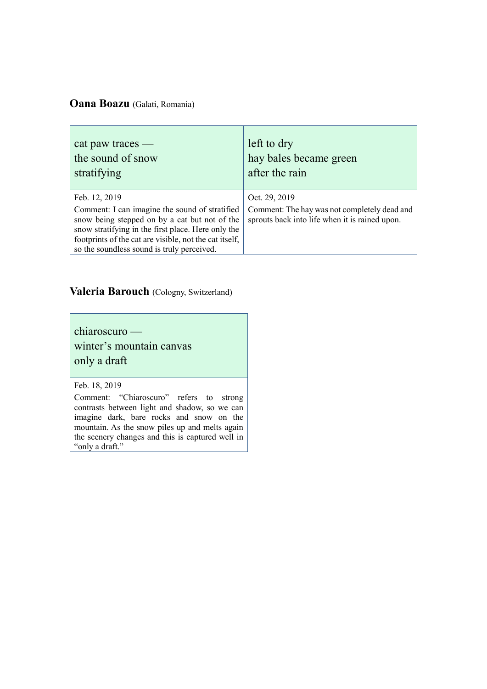#### **Oana Boazu** (Galati, Romania)

| cat paw traces —                                                                                                                                                                                                                                                               | left to dry                                                                                                     |
|--------------------------------------------------------------------------------------------------------------------------------------------------------------------------------------------------------------------------------------------------------------------------------|-----------------------------------------------------------------------------------------------------------------|
| the sound of snow                                                                                                                                                                                                                                                              | hay bales became green                                                                                          |
| stratifying                                                                                                                                                                                                                                                                    | after the rain                                                                                                  |
| Feb. 12, 2019<br>Comment: I can imagine the sound of stratified<br>snow being stepped on by a cat but not of the<br>snow stratifying in the first place. Here only the<br>footprints of the cat are visible, not the cat itself,<br>so the soundless sound is truly perceived. | Oct. 29, 2019<br>Comment: The hay was not completely dead and<br>sprouts back into life when it is rained upon. |

#### **Valeria Barouch** (Cologny, Switzerland)

chiaroscuro winter's mountain canvas only a draft

#### Feb. 18, 2019

Comment: "Chiaroscuro" refers to strong contrasts between light and shadow, so we can imagine dark, bare rocks and snow on the magnet and, once room and melts again mountain. As the snow piles up and melts again the scenery changes and this is captured well in "only a draft."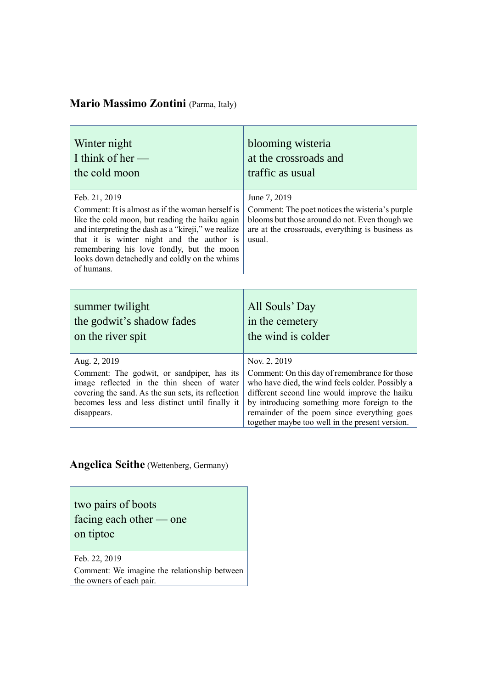## **Mario Massimo Zontini** (Parma, Italy)

| Winter night<br>I think of her $-$<br>the cold moon                                                                                                                                                                                                                                                                                  | blooming wisteria<br>at the crossroads and<br>traffic as usual                                                                                                                                                                                                                                                       |
|--------------------------------------------------------------------------------------------------------------------------------------------------------------------------------------------------------------------------------------------------------------------------------------------------------------------------------------|----------------------------------------------------------------------------------------------------------------------------------------------------------------------------------------------------------------------------------------------------------------------------------------------------------------------|
| Feb. 21, 2019<br>Comment: It is almost as if the woman herself is<br>like the cold moon, but reading the haiku again<br>and interpreting the dash as a "kireji," we realize<br>that it is winter night and the author is<br>remembering his love fondly, but the moon<br>looks down detachedly and coldly on the whims<br>of humans. | June 7, 2019<br>Comment: The poet notices the wisteria's purple<br>blooms but those around do not. Even though we<br>are at the crossroads, everything is business as<br>usual.                                                                                                                                      |
|                                                                                                                                                                                                                                                                                                                                      |                                                                                                                                                                                                                                                                                                                      |
| summer twilight<br>the godwit's shadow fades<br>on the river spit                                                                                                                                                                                                                                                                    | All Souls' Day<br>in the cemetery<br>the wind is colder                                                                                                                                                                                                                                                              |
| Aug. 2, 2019<br>Comment: The godwit, or sandpiper, has its<br>image reflected in the thin sheen of water<br>covering the sand. As the sun sets, its reflection<br>becomes less and less distinct until finally it<br>disappears.                                                                                                     | Nov. 2, 2019<br>Comment: On this day of remembrance for those<br>who have died, the wind feels colder. Possibly a<br>different second line would improve the haiku<br>by introducing something more foreign to the<br>remainder of the poem since everything goes<br>together maybe too well in the present version. |

## **Angelica Seithe** (Wettenberg, Germany)

two pairs of boots facing each other — one on tiptoe

Feb. 22, 2019 Comment: We imagine the relationship between the owners of each pair.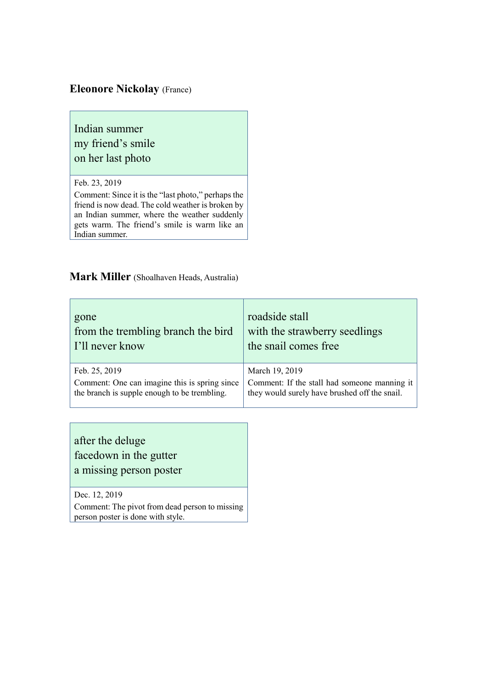#### **Eleonore Nickolay** (France)

## Indian summer my friend's smile on her last photo

#### Feb. 23, 2019

Comment: Since it is the "last photo," perhaps the friend is now dead. The cold weather is broken by an Indian summer, where the weather suddenly gets warm. The friend's smile is warm like an Indian summer.

#### **Mark Miller** (Shoalhaven Heads, Australia)

| gone                                          | roadside stall                                |
|-----------------------------------------------|-----------------------------------------------|
| from the trembling branch the bird            | with the strawberry seedlings                 |
| I'll never know                               | the snail comes free                          |
| Feb. 25, 2019                                 | March 19, 2019                                |
| Comment: One can imagine this is spring since | Comment: If the stall had someone manning it  |
| the branch is supple enough to be trembling.  | they would surely have brushed off the snail. |

after the deluge facedown in the gutter a missing person poster

Dec. 12, 2019

Comment: The pivot from dead person to missing person poster is done with style.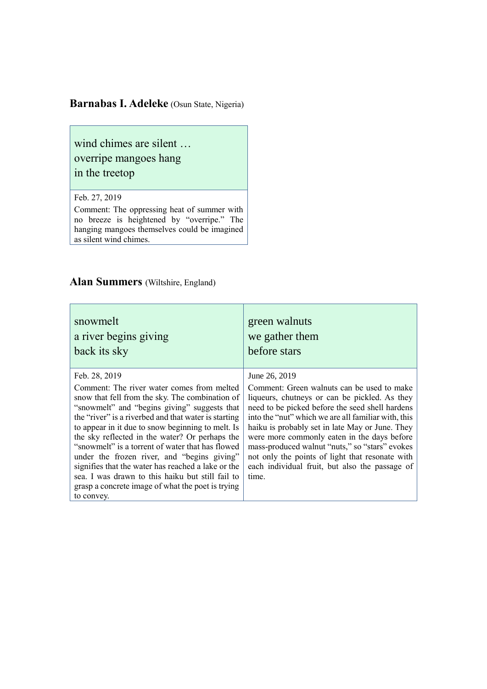#### **Barnabas I. Adeleke** (Osun State, Nigeria)

wind chimes are silent … overripe mangoes hang in the treetop

#### Feb. 27, 2019

Comment: The oppressing heat of summer with no breeze is heightened by "overripe." The hanging mangoes themselves could be imagined as silent wind chimes.

#### **Alan Summers** (Wiltshire, England)

| snowmelt                                                                                                                                                                                                                                                                                                                                                                                                                                                                                                                                                                                                      | green walnuts                                                                                                                                                                                                                                                                                                                                                                                                                                                                            |
|---------------------------------------------------------------------------------------------------------------------------------------------------------------------------------------------------------------------------------------------------------------------------------------------------------------------------------------------------------------------------------------------------------------------------------------------------------------------------------------------------------------------------------------------------------------------------------------------------------------|------------------------------------------------------------------------------------------------------------------------------------------------------------------------------------------------------------------------------------------------------------------------------------------------------------------------------------------------------------------------------------------------------------------------------------------------------------------------------------------|
| a river begins giving                                                                                                                                                                                                                                                                                                                                                                                                                                                                                                                                                                                         | we gather them                                                                                                                                                                                                                                                                                                                                                                                                                                                                           |
| back its sky                                                                                                                                                                                                                                                                                                                                                                                                                                                                                                                                                                                                  | before stars                                                                                                                                                                                                                                                                                                                                                                                                                                                                             |
| Feb. 28, 2019<br>Comment: The river water comes from melted<br>snow that fell from the sky. The combination of<br>"snowmelt" and "begins giving" suggests that<br>the "river" is a riverbed and that water is starting<br>to appear in it due to snow beginning to melt. Is<br>the sky reflected in the water? Or perhaps the<br>"snowmelt" is a torrent of water that has flowed<br>under the frozen river, and "begins giving"<br>signifies that the water has reached a lake or the<br>sea. I was drawn to this haiku but still fail to<br>grasp a concrete image of what the poet is trying<br>to convey. | June 26, 2019<br>Comment: Green walnuts can be used to make<br>liqueurs, chutneys or can be pickled. As they<br>need to be picked before the seed shell hardens<br>into the "nut" which we are all familiar with, this<br>haiku is probably set in late May or June. They<br>were more commonly eaten in the days before<br>mass-produced walnut "nuts," so "stars" evokes<br>not only the points of light that resonate with<br>each individual fruit, but also the passage of<br>time. |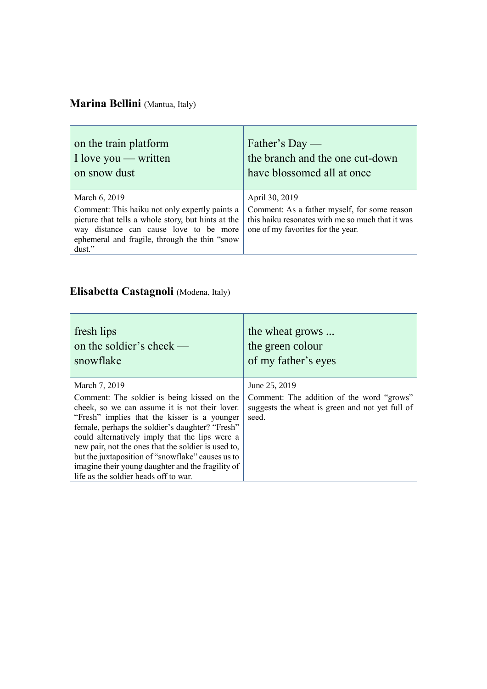# **Marina Bellini** (Mantua, Italy)

| on the train platform                                                                                                                                                                                                      | Father's Day —                                                                                                                                           |
|----------------------------------------------------------------------------------------------------------------------------------------------------------------------------------------------------------------------------|----------------------------------------------------------------------------------------------------------------------------------------------------------|
| I love you — written                                                                                                                                                                                                       | the branch and the one cut-down                                                                                                                          |
| on snow dust                                                                                                                                                                                                               | have blossomed all at once                                                                                                                               |
| March 6, 2019<br>Comment: This haiku not only expertly paints a<br>picture that tells a whole story, but hints at the<br>way distance can cause love to be more<br>ephemeral and fragile, through the thin "snow<br>dust." | April 30, 2019<br>Comment: As a father myself, for some reason<br>this haiku resonates with me so much that it was<br>one of my favorities for the year. |

# **Elisabetta Castagnoli** (Modena, Italy)

| fresh lips                                                                                                                                                                                                                                                                                                                                                                                                                                                                    | the wheat grows                                                                                                        |
|-------------------------------------------------------------------------------------------------------------------------------------------------------------------------------------------------------------------------------------------------------------------------------------------------------------------------------------------------------------------------------------------------------------------------------------------------------------------------------|------------------------------------------------------------------------------------------------------------------------|
| on the soldier's cheek $-$                                                                                                                                                                                                                                                                                                                                                                                                                                                    | the green colour                                                                                                       |
| snowflake                                                                                                                                                                                                                                                                                                                                                                                                                                                                     | of my father's eyes                                                                                                    |
| March 7, 2019<br>Comment: The soldier is being kissed on the<br>cheek, so we can assume it is not their lover.<br>"Fresh" implies that the kisser is a younger<br>female, perhaps the soldier's daughter? "Fresh"<br>could alternatively imply that the lips were a<br>new pair, not the ones that the soldier is used to,<br>but the juxtaposition of "snowflake" causes us to<br>imagine their young daughter and the fragility of<br>life as the soldier heads off to war. | June 25, 2019<br>Comment: The addition of the word "grows"<br>suggests the wheat is green and not yet full of<br>seed. |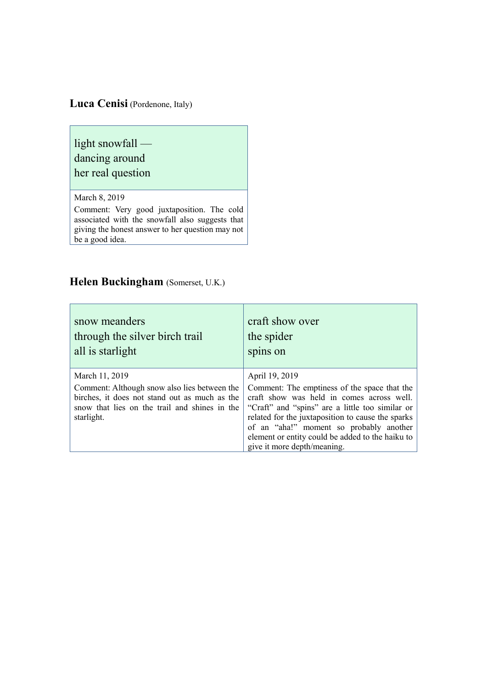### **Luca Cenisi** (Pordenone, Italy)

light snowfall —

# dancing around

her real question

March 8, 2019

Comment: Very good juxtaposition. The cold associated with the snowfall also suggests that giving the honest answer to her question may not be a good idea.

### **Helen Buckingham** (Somerset, U.K.)

| snow meanders<br>through the silver birch trail<br>all is starlight                                                                                          | craft show over<br>the spider<br>spins on                                                                                                                                                                                                                                                                                       |
|--------------------------------------------------------------------------------------------------------------------------------------------------------------|---------------------------------------------------------------------------------------------------------------------------------------------------------------------------------------------------------------------------------------------------------------------------------------------------------------------------------|
| March 11, 2019                                                                                                                                               | April 19, 2019                                                                                                                                                                                                                                                                                                                  |
| Comment: Although snow also lies between the<br>birches, it does not stand out as much as the<br>snow that lies on the trail and shines in the<br>starlight. | Comment: The emptiness of the space that the<br>craft show was held in comes across well.<br>"Craft" and "spins" are a little too similar or<br>related for the juxtaposition to cause the sparks<br>of an "aha!" moment so probably another<br>element or entity could be added to the haiku to<br>give it more depth/meaning. |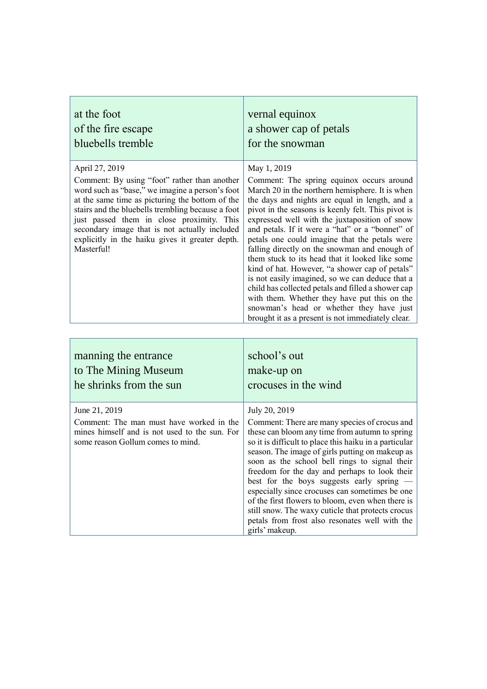| at the foot                                                                                                                                                                                                                                                                                                                                                                              | vernal equinox                                                                                                                                                                                                                                                                                                                                                                                                                                                                                                                                                                                                                                                                                                                                                                           |
|------------------------------------------------------------------------------------------------------------------------------------------------------------------------------------------------------------------------------------------------------------------------------------------------------------------------------------------------------------------------------------------|------------------------------------------------------------------------------------------------------------------------------------------------------------------------------------------------------------------------------------------------------------------------------------------------------------------------------------------------------------------------------------------------------------------------------------------------------------------------------------------------------------------------------------------------------------------------------------------------------------------------------------------------------------------------------------------------------------------------------------------------------------------------------------------|
| of the fire escape                                                                                                                                                                                                                                                                                                                                                                       | a shower cap of petals                                                                                                                                                                                                                                                                                                                                                                                                                                                                                                                                                                                                                                                                                                                                                                   |
| bluebells tremble                                                                                                                                                                                                                                                                                                                                                                        | for the snowman                                                                                                                                                                                                                                                                                                                                                                                                                                                                                                                                                                                                                                                                                                                                                                          |
| April 27, 2019<br>Comment: By using "foot" rather than another<br>word such as "base," we imagine a person's foot<br>at the same time as picturing the bottom of the<br>stairs and the bluebells trembling because a foot<br>just passed them in close proximity. This<br>secondary image that is not actually included<br>explicitly in the haiku gives it greater depth.<br>Masterful! | May 1, 2019<br>Comment: The spring equinox occurs around<br>March 20 in the northern hemisphere. It is when<br>the days and nights are equal in length, and a<br>pivot in the seasons is keenly felt. This pivot is<br>expressed well with the juxtaposition of snow<br>and petals. If it were a "hat" or a "bonnet" of<br>petals one could imagine that the petals were<br>falling directly on the snowman and enough of<br>them stuck to its head that it looked like some<br>kind of hat. However, "a shower cap of petals"<br>is not easily imagined, so we can deduce that a<br>child has collected petals and filled a shower cap<br>with them. Whether they have put this on the<br>snowman's head or whether they have just<br>brought it as a present is not immediately clear. |

| manning the entrance                                                                                                                            | school's out                                                                                                                                                                                                                                                                                                                                                                                                                                                                                                                                                                                                   |
|-------------------------------------------------------------------------------------------------------------------------------------------------|----------------------------------------------------------------------------------------------------------------------------------------------------------------------------------------------------------------------------------------------------------------------------------------------------------------------------------------------------------------------------------------------------------------------------------------------------------------------------------------------------------------------------------------------------------------------------------------------------------------|
| to The Mining Museum                                                                                                                            | make-up on                                                                                                                                                                                                                                                                                                                                                                                                                                                                                                                                                                                                     |
| he shrinks from the sun                                                                                                                         | crocuses in the wind                                                                                                                                                                                                                                                                                                                                                                                                                                                                                                                                                                                           |
| June 21, 2019<br>Comment: The man must have worked in the<br>mines himself and is not used to the sun. For<br>some reason Gollum comes to mind. | July 20, 2019<br>Comment: There are many species of crocus and<br>these can bloom any time from autumn to spring<br>so it is difficult to place this haiku in a particular<br>season. The image of girls putting on makeup as<br>soon as the school bell rings to signal their<br>freedom for the day and perhaps to look their<br>best for the boys suggests early spring $-$<br>especially since crocuses can sometimes be one<br>of the first flowers to bloom, even when there is<br>still snow. The waxy cuticle that protects crocus<br>petals from frost also resonates well with the<br>girls' makeup. |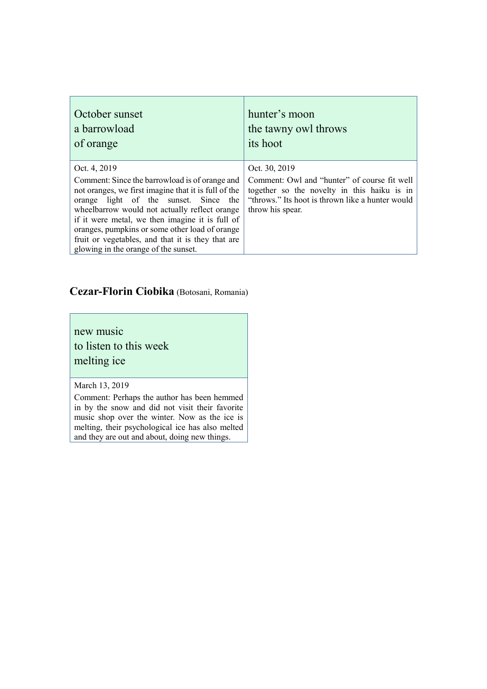| October sunset                                                                                                                                                                                                                                                                                                                                                                                                     | hunter's moon                                                                                                                                                                        |
|--------------------------------------------------------------------------------------------------------------------------------------------------------------------------------------------------------------------------------------------------------------------------------------------------------------------------------------------------------------------------------------------------------------------|--------------------------------------------------------------------------------------------------------------------------------------------------------------------------------------|
| a barrowload                                                                                                                                                                                                                                                                                                                                                                                                       | the tawny owl throws                                                                                                                                                                 |
| of orange                                                                                                                                                                                                                                                                                                                                                                                                          | its hoot                                                                                                                                                                             |
| Oct. 4, 2019<br>Comment: Since the barrowload is of orange and<br>not oranges, we first imagine that it is full of the<br>orange light of the sunset. Since the<br>wheelbarrow would not actually reflect orange<br>if it were metal, we then imagine it is full of<br>oranges, pumpkins or some other load of orange<br>fruit or vegetables, and that it is they that are<br>glowing in the orange of the sunset. | Oct. 30, 2019<br>Comment: Owl and "hunter" of course fit well<br>together so the novelty in this haiku is in<br>"throws." Its hoot is thrown like a hunter would<br>throw his spear. |

### **Cezar-Florin Ciobika** (Botosani, Romania)

new music to listen to this week melting ice

March 13, 2019

Comment: Perhaps the author has been hemmed in by the snow and did not visit their favorite music shop over the winter. Now as the ice is melting, their psychological ice has also melted and they are out and about, doing new things.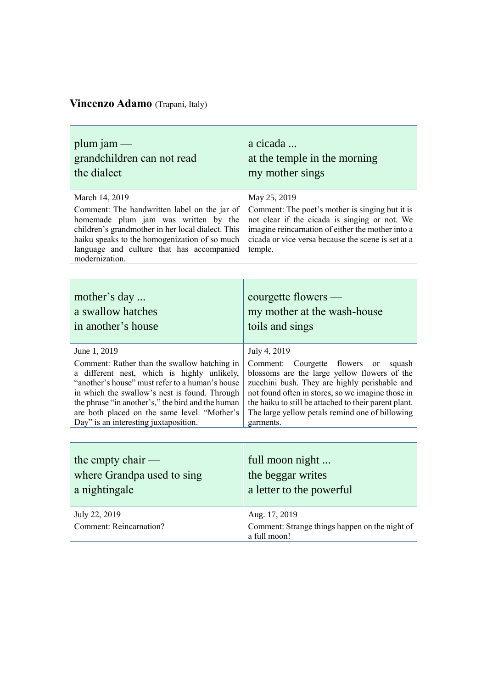# **Vincenzo Adamo** (Trapani, Italy)

| plum jam $-$<br>grandchildren can not read<br>the dialect                                                                                                                                                                                                                   | a cicada<br>at the temple in the morning<br>my mother sings                                                                                                                                                                            |
|-----------------------------------------------------------------------------------------------------------------------------------------------------------------------------------------------------------------------------------------------------------------------------|----------------------------------------------------------------------------------------------------------------------------------------------------------------------------------------------------------------------------------------|
| March 14, 2019<br>Comment: The handwritten label on the jar of<br>homemade plum jam was written by the<br>children's grandmother in her local dialect. This<br>haiku speaks to the homogenization of so much<br>language and culture that has accompanied<br>modernization. | May 25, 2019<br>Comment: The poet's mother is singing but it is<br>not clear if the cicada is singing or not. We<br>imagine reincarnation of either the mother into a<br>cicada or vice versa because the scene is set at a<br>temple. |
|                                                                                                                                                                                                                                                                             |                                                                                                                                                                                                                                        |

| mother's day                                      | courgette flowers $-$                                 |
|---------------------------------------------------|-------------------------------------------------------|
| a swallow hatches                                 | my mother at the wash-house                           |
| in another's house                                | toils and sings                                       |
| June 1, 2019                                      | July 4, 2019                                          |
| Comment: Rather than the swallow hatching in      | Comment: Courgette flowers or squash                  |
| a different nest, which is highly unlikely,       | blossoms are the large yellow flowers of the          |
| "another's house" must refer to a human's house   | zucchini bush. They are highly perishable and         |
| in which the swallow's nest is found. Through     | not found often in stores, so we imagine those in     |
| the phrase "in another's," the bird and the human | the haiku to still be attached to their parent plant. |
| are both placed on the same level. "Mother's      | The large yellow petals remind one of billowing       |
| Day" is an interesting juxtaposition.             | garments.                                             |

| the empty chair $-$                             | full moon night                                                                 |
|-------------------------------------------------|---------------------------------------------------------------------------------|
| where Grandpa used to sing                      | the beggar writes                                                               |
| a nightingale                                   | a letter to the powerful                                                        |
| July 22, 2019<br><b>Comment: Reincarnation?</b> | Aug. 17, 2019<br>Comment: Strange things happen on the night of<br>a full moon! |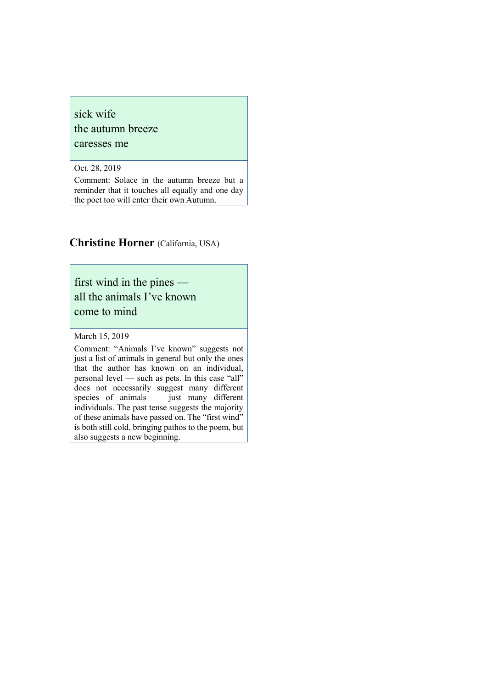#### sick wife

the autumn breeze

caresses me

Oct. 28, 2019

Comment: Solace in the autumn breeze but a reminder that it touches all equally and one day the poet too will enter their own Autumn.

#### **Christine Horner** (California, USA)

first wind in the pines all the animals I've known come to mind

March 15, 2019

Comment: "Animals I've known" suggests not just a list of animals in general but only the ones that the author has known on an individual, personal level — such as pets. In this case "all" does not necessarily suggest many different species of animals — just many different individuals. The past tense suggests the majority of these animals have passed on. The "first wind" is both still cold, bringing pathos to the poem, but also suggests a new beginning.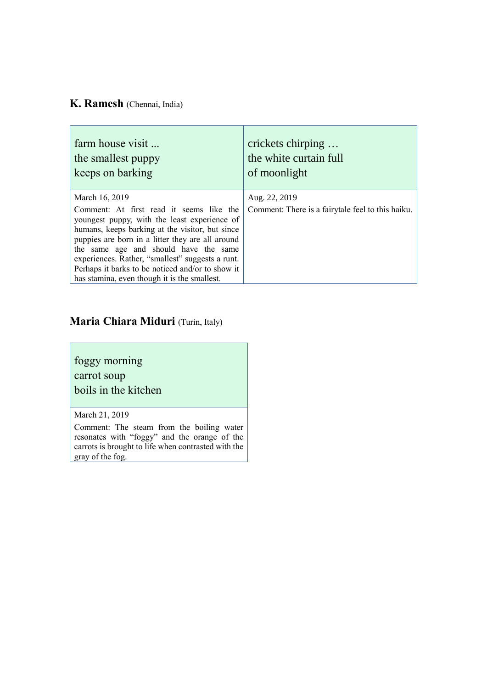### **K. Ramesh** (Chennai, India)

| farm house visit                                                                                                                                                                                                                                                                                                                                                                                                   | crickets chirping                                                  |
|--------------------------------------------------------------------------------------------------------------------------------------------------------------------------------------------------------------------------------------------------------------------------------------------------------------------------------------------------------------------------------------------------------------------|--------------------------------------------------------------------|
| the smallest puppy                                                                                                                                                                                                                                                                                                                                                                                                 | the white curtain full                                             |
| keeps on barking                                                                                                                                                                                                                                                                                                                                                                                                   | of moonlight                                                       |
| March 16, 2019<br>Comment: At first read it seems like the<br>youngest puppy, with the least experience of<br>humans, keeps barking at the visitor, but since<br>puppies are born in a litter they are all around<br>the same age and should have the same<br>experiences. Rather, "smallest" suggests a runt.<br>Perhaps it barks to be noticed and/or to show it<br>has stamina, even though it is the smallest. | Aug. 22, 2019<br>Comment: There is a fairytale feel to this haiku. |

# **Maria Chiara Miduri** (Turin, Italy)

foggy morning carrot soup boils in the kitchen

March 21, 2019

Comment: The steam from the boiling water resonates with "foggy" and the orange of the carrots is brought to life when contrasted with the gray of the fog.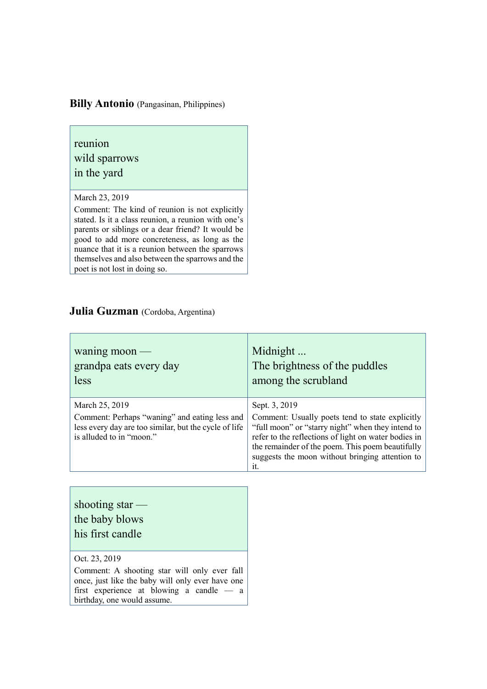### **Billy Antonio** (Pangasinan, Philippines)

reunion wild sparrows

in the yard

March 23, 2019

Comment: The kind of reunion is not explicitly stated. Is it a class reunion, a reunion with one's parents or siblings or a dear friend? It would be good to add more concreteness, as long as the nuance that it is a reunion between the sparrows themselves and also between the sparrows and the poet is not lost in doing so.

#### **Julia Guzman** (Cordoba, Argentina)

| waning moon $-$                                                                                                                                      | Midnight                                                                                                                                                                                                                                                                                    |
|------------------------------------------------------------------------------------------------------------------------------------------------------|---------------------------------------------------------------------------------------------------------------------------------------------------------------------------------------------------------------------------------------------------------------------------------------------|
| grandpa eats every day                                                                                                                               | The brightness of the puddles                                                                                                                                                                                                                                                               |
| less                                                                                                                                                 | among the scrubland                                                                                                                                                                                                                                                                         |
| March 25, 2019<br>Comment: Perhaps "waning" and eating less and<br>less every day are too similar, but the cycle of life<br>is alluded to in "moon." | Sept. 3, 2019<br>Comment: Usually poets tend to state explicitly<br>"full moon" or "starry night" when they intend to<br>refer to the reflections of light on water bodies in<br>the remainder of the poem. This poem beautifully<br>suggests the moon without bringing attention to<br>it. |

Oct. 23, 2019 Comment: A shooting star will only ever fall once, just like the baby will only ever have one first experience at blowing a candle — a birthday, one would assume.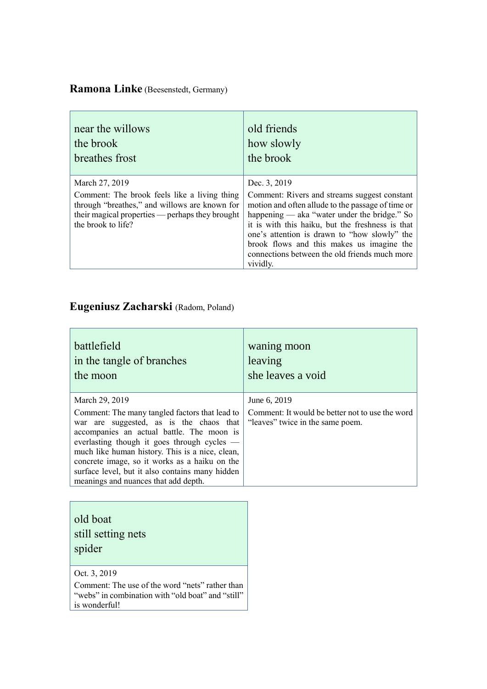# **Ramona Linke** (Beesenstedt, Germany)

| near the willows                                                                                                                                                                         | old friends                                                                                                                                                                                                                                                                                                                                                                     |
|------------------------------------------------------------------------------------------------------------------------------------------------------------------------------------------|---------------------------------------------------------------------------------------------------------------------------------------------------------------------------------------------------------------------------------------------------------------------------------------------------------------------------------------------------------------------------------|
| the brook                                                                                                                                                                                | how slowly                                                                                                                                                                                                                                                                                                                                                                      |
| breathes frost                                                                                                                                                                           | the brook                                                                                                                                                                                                                                                                                                                                                                       |
| March 27, 2019<br>Comment: The brook feels like a living thing<br>through "breathes," and willows are known for<br>their magical properties — perhaps they brought<br>the brook to life? | Dec. 3, 2019<br>Comment: Rivers and streams suggest constant<br>motion and often allude to the passage of time or<br>happening — aka "water under the bridge." So<br>it is with this haiku, but the freshness is that<br>one's attention is drawn to "how slowly" the<br>brook flows and this makes us imagine the<br>connections between the old friends much more<br>vividly. |

# **Eugeniusz Zacharski** (Radom, Poland)

| battlefield                                                                                                                                                                                                                                                                                                                                                                                            | waning moon                                                                                         |
|--------------------------------------------------------------------------------------------------------------------------------------------------------------------------------------------------------------------------------------------------------------------------------------------------------------------------------------------------------------------------------------------------------|-----------------------------------------------------------------------------------------------------|
| in the tangle of branches                                                                                                                                                                                                                                                                                                                                                                              | leaving                                                                                             |
| the moon                                                                                                                                                                                                                                                                                                                                                                                               | she leaves a void                                                                                   |
| March 29, 2019<br>Comment: The many tangled factors that lead to<br>war are suggested, as is the chaos that<br>accompanies an actual battle. The moon is<br>everlasting though it goes through cycles —<br>much like human history. This is a nice, clean,<br>concrete image, so it works as a haiku on the<br>surface level, but it also contains many hidden<br>meanings and nuances that add depth. | June 6, 2019<br>Comment: It would be better not to use the word<br>"leaves" twice in the same poem. |

| old boat<br>still setting nets<br>spider |
|------------------------------------------|
| Oct. 3, 2019                             |

Comment: The use of the word "nets" rather than "webs" in combination with "old boat" and "still" is wonderful!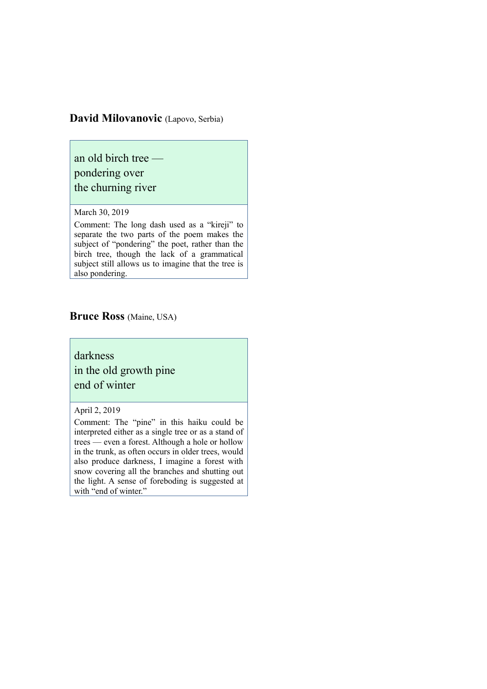#### **David Milovanovic** (Lapovo, Serbia)

an old birch tree pondering over the churning river

#### March 30, 2019

Comment: The long dash used as a "kireji" to separate the two parts of the poem makes the subject of "pondering" the poet, rather than the birch tree, though the lack of a grammatical subject still allows us to imagine that the tree is also pondering.

#### **Bruce Ross** (Maine, USA)

darkness in the old growth pine end of winter

April 2, 2019

Comment: The "pine" in this haiku could be interpreted either as a single tree or as a stand of trees — even a forest. Although a hole or hollow in the trunk, as often occurs in older trees, would also produce darkness, I imagine a forest with snow covering all the branches and shutting out the light. A sense of foreboding is suggested at with "end of winter."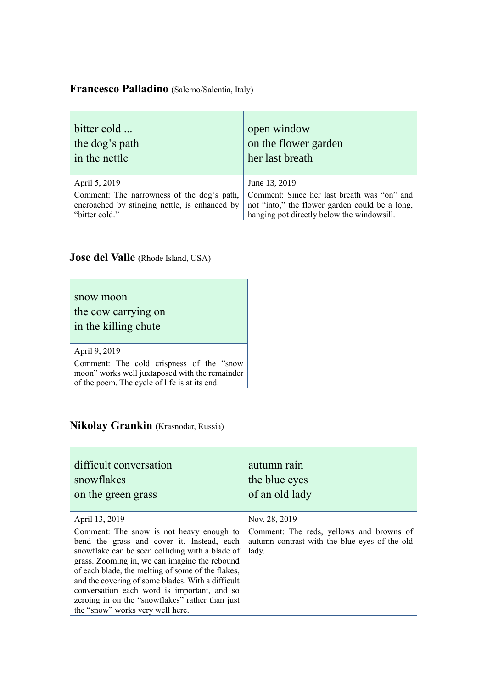### **Francesco Palladino** (Salerno/Salentia, Italy)

| bitter cold                                   | open window                                    |
|-----------------------------------------------|------------------------------------------------|
| the dog's path                                | on the flower garden                           |
| in the nettle                                 | her last breath                                |
| April 5, 2019                                 | June 13, 2019                                  |
| Comment: The narrowness of the dog's path,    | Comment: Since her last breath was "on" and    |
| encroached by stinging nettle, is enhanced by | not "into," the flower garden could be a long, |
| "bitter cold."                                | hanging pot directly below the windowsill.     |

### **Jose del Valle** (Rhode Island, USA)

snow moon

the cow carrying on in the killing chute

#### April 9, 2019

Comment: The cold crispness of the "snow moon" works well juxtaposed with the remainder of the poem. The cycle of life is at its end.

### **Nikolay Grankin** (Krasnodar, Russia)

| difficult conversation                                                                                                                                                                                                                                                                                                                                                                                                                                       | autumn rain                                                                                                         |
|--------------------------------------------------------------------------------------------------------------------------------------------------------------------------------------------------------------------------------------------------------------------------------------------------------------------------------------------------------------------------------------------------------------------------------------------------------------|---------------------------------------------------------------------------------------------------------------------|
| snowflakes                                                                                                                                                                                                                                                                                                                                                                                                                                                   | the blue eyes                                                                                                       |
| on the green grass                                                                                                                                                                                                                                                                                                                                                                                                                                           | of an old lady                                                                                                      |
| April 13, 2019<br>Comment: The snow is not heavy enough to<br>bend the grass and cover it. Instead, each<br>snowflake can be seen colliding with a blade of<br>grass. Zooming in, we can imagine the rebound<br>of each blade, the melting of some of the flakes,<br>and the covering of some blades. With a difficult<br>conversation each word is important, and so<br>zeroing in on the "snowflakes" rather than just<br>the "snow" works very well here. | Nov. 28, 2019<br>Comment: The reds, yellows and browns of<br>autumn contrast with the blue eyes of the old<br>lady. |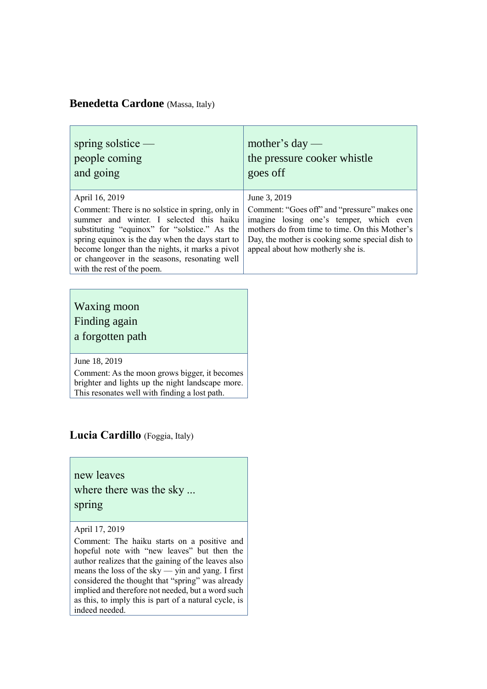### **Benedetta Cardone** (Massa, Italy)

| spring solstice $-$                                                                                                                                                                                                                                                                                                                                   | mother's day —                                                                                                                                                                                                                                    |
|-------------------------------------------------------------------------------------------------------------------------------------------------------------------------------------------------------------------------------------------------------------------------------------------------------------------------------------------------------|---------------------------------------------------------------------------------------------------------------------------------------------------------------------------------------------------------------------------------------------------|
| people coming                                                                                                                                                                                                                                                                                                                                         | the pressure cooker whistle                                                                                                                                                                                                                       |
| and going                                                                                                                                                                                                                                                                                                                                             | goes off                                                                                                                                                                                                                                          |
| April 16, 2019<br>Comment: There is no solstice in spring, only in<br>summer and winter. I selected this haiku<br>substituting "equinox" for "solstice." As the<br>spring equinox is the day when the days start to<br>become longer than the nights, it marks a pivot<br>or changeover in the seasons, resonating well<br>with the rest of the poem. | June 3, 2019<br>Comment: "Goes off" and "pressure" makes one<br>imagine losing one's temper, which even<br>mothers do from time to time. On this Mother's<br>Day, the mother is cooking some special dish to<br>appeal about how motherly she is. |

### Waxing moon Finding again a forgotten path

June 18, 2019

Comment: As the moon grows bigger, it becomes brighter and lights up the night landscape more. This resonates well with finding a lost path.

### **Lucia Cardillo** (Foggia, Italy)

new leaves where there was the sky ... spring

#### April 17, 2019

Comment: The haiku starts on a positive and hopeful note with "new leaves" but then the author realizes that the gaining of the leaves also means the loss of the sky — yin and yang. I first considered the thought that "spring" was already implied and therefore not needed, but a word such as this, to imply this is part of a natural cycle, is indeed needed.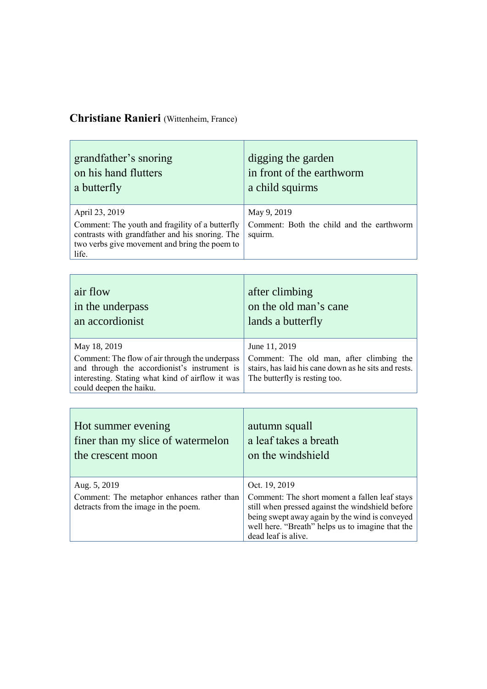# **Christiane Ranieri** (Wittenheim, France)

| grandfather's snoring                                                                                                                                                          | digging the garden                                                  |
|--------------------------------------------------------------------------------------------------------------------------------------------------------------------------------|---------------------------------------------------------------------|
| on his hand flutters                                                                                                                                                           | in front of the earthworm                                           |
| a butterfly                                                                                                                                                                    | a child squirms                                                     |
| April 23, 2019<br>Comment: The youth and fragility of a butterfly<br>contrasts with grandfather and his snoring. The<br>two verbs give movement and bring the poem to<br>life. | May 9, 2019<br>Comment: Both the child and the earthworm<br>squirm. |

| air flow<br>in the underpass<br>an accordionist                                                                                                                               | after climbing<br>on the old man's cane<br>lands a butterfly                                                                      |
|-------------------------------------------------------------------------------------------------------------------------------------------------------------------------------|-----------------------------------------------------------------------------------------------------------------------------------|
| May 18, 2019                                                                                                                                                                  | June 11, 2019                                                                                                                     |
| Comment: The flow of air through the underpass<br>and through the accordionist's instrument is<br>interesting. Stating what kind of airflow it was<br>could deepen the haiku. | Comment: The old man, after climbing the<br>stairs, has laid his cane down as he sits and rests.<br>The butterfly is resting too. |

| Hot summer evening                                                                                 | autumn squall                                                                                                                                                                                                                                   |
|----------------------------------------------------------------------------------------------------|-------------------------------------------------------------------------------------------------------------------------------------------------------------------------------------------------------------------------------------------------|
| finer than my slice of watermelon                                                                  | a leaf takes a breath                                                                                                                                                                                                                           |
| the crescent moon                                                                                  | on the windshield                                                                                                                                                                                                                               |
| Aug. 5, 2019<br>Comment: The metaphor enhances rather than<br>detracts from the image in the poem. | Oct. 19, 2019<br>Comment: The short moment a fallen leaf stays<br>still when pressed against the windshield before<br>being swept away again by the wind is conveyed<br>well here. "Breath" helps us to imagine that the<br>dead leaf is alive. |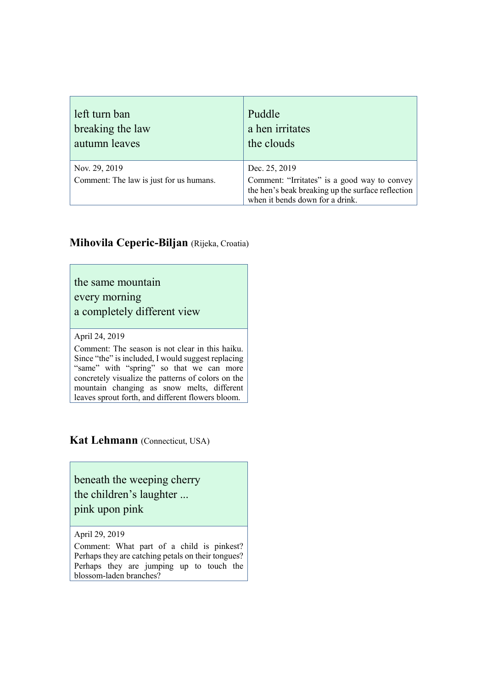| left turn ban                                            | Puddle                                                                                                                                                |
|----------------------------------------------------------|-------------------------------------------------------------------------------------------------------------------------------------------------------|
| breaking the law                                         | a hen irritates                                                                                                                                       |
| autumn leaves                                            | the clouds                                                                                                                                            |
| Nov. 29, 2019<br>Comment: The law is just for us humans. | Dec. 25, 2019<br>Comment: "Irritates" is a good way to convey<br>the hen's beak breaking up the surface reflection<br>when it bends down for a drink. |

### **Mihovila Ceperic-Biljan** (Rijeka, Croatia)

the same mountain every morning

a completely different view

April 24, 2019

Comment: The season is not clear in this haiku. Since "the" is included, I would suggest replacing "same" with "spring" so that we can more concretely visualize the patterns of colors on the mountain changing as snow melts, different leaves sprout forth, and different flowers bloom.

**Kat Lehmann** (Connecticut, USA)

beneath the weeping cherry the children's laughter ... pink upon pink

April 29, 2019

Comment: What part of a child is pinkest? Perhaps they are catching petals on their tongues? Perhaps they are jumping up to touch the blossom-laden branches?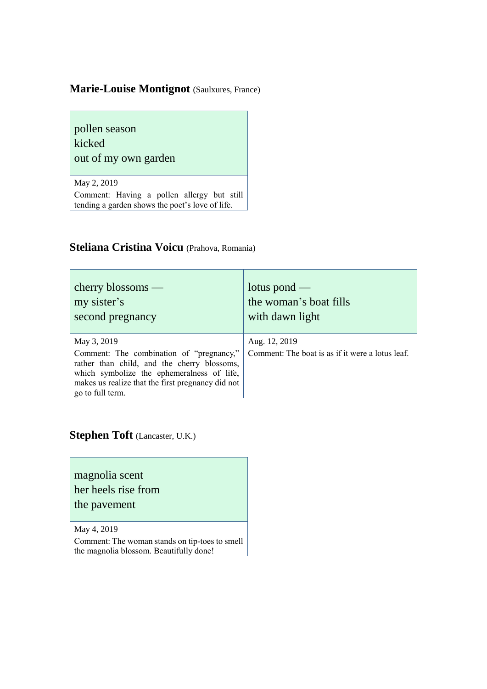### **Marie-Louise Montignot** (Saulxures, France)

pollen season kicked out of my own garden

May 2, 2019 Comment: Having a pollen allergy but still tending a garden shows the poet's love of life.

### **Steliana Cristina Voicu** (Prahova, Romania)

| $cherry$ blossoms —                                                                                                                                                                                                           | lotus pond —                                                      |
|-------------------------------------------------------------------------------------------------------------------------------------------------------------------------------------------------------------------------------|-------------------------------------------------------------------|
| my sister's                                                                                                                                                                                                                   | the woman's boat fills                                            |
| second pregnancy                                                                                                                                                                                                              | with dawn light                                                   |
| May 3, 2019<br>Comment: The combination of "pregnancy,"<br>rather than child, and the cherry blossoms,<br>which symbolize the ephemeralness of life,<br>makes us realize that the first pregnancy did not<br>go to full term. | Aug. 12, 2019<br>Comment: The boat is as if it were a lotus leaf. |

**Stephen Toft** (Lancaster, U.K.)

magnolia scent her heels rise from the pavement

May 4, 2019

Comment: The woman stands on tip-toes to smell the magnolia blossom. Beautifully done!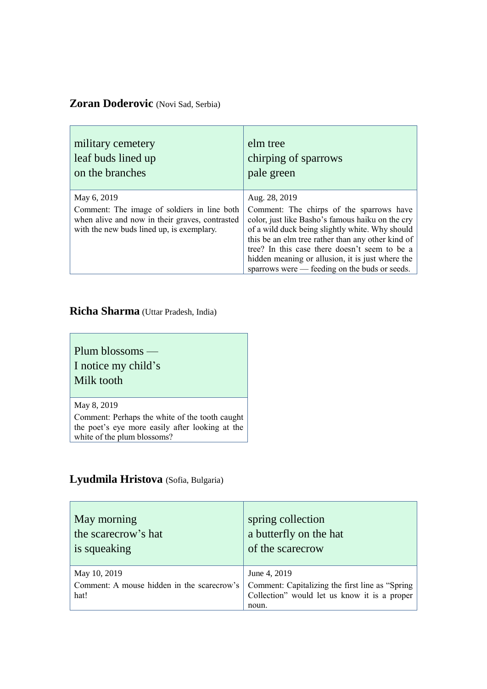### **Zoran Doderovic** (Novi Sad, Serbia)

| military cemetery                              | elm tree                                                                                                                                                                                                |
|------------------------------------------------|---------------------------------------------------------------------------------------------------------------------------------------------------------------------------------------------------------|
| leaf buds lined up                             | chirping of sparrows                                                                                                                                                                                    |
| on the branches                                | pale green                                                                                                                                                                                              |
| May 6, 2019                                    | Aug. 28, 2019                                                                                                                                                                                           |
| Comment: The image of soldiers in line both    | Comment: The chirps of the sparrows have                                                                                                                                                                |
| when alive and now in their graves, contrasted | color, just like Basho's famous haiku on the cry                                                                                                                                                        |
| with the new buds lined up, is exemplary.      | of a wild duck being slightly white. Why should                                                                                                                                                         |
|                                                | this be an elm tree rather than any other kind of<br>tree? In this case there doesn't seem to be a<br>hidden meaning or allusion, it is just where the<br>sparrows were — feeding on the buds or seeds. |

### **Richa Sharma** (Uttar Pradesh, India)

Plum blossoms — I notice my child's Milk tooth

May 8, 2019

Comment: Perhaps the white of the tooth caught the poet's eye more easily after looking at the white of the plum blossoms?

### **Lyudmila Hristova** (Sofia, Bulgaria)

| May morning<br>the scarecrow's hat<br>is squeaking | spring collection<br>a butterfly on the hat<br>of the scarecrow                                 |
|----------------------------------------------------|-------------------------------------------------------------------------------------------------|
| May 10, 2019                                       | June 4, 2019                                                                                    |
| Comment: A mouse hidden in the scarecrow's         | Comment: Capitalizing the first line as "Spring<br>Collection" would let us know it is a proper |
| hat!                                               |                                                                                                 |
|                                                    | noun.                                                                                           |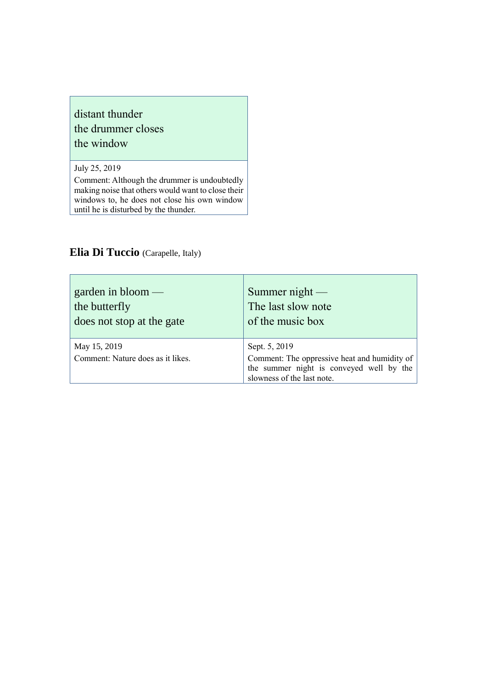### distant thunder the drummer closes the window

July 25, 2019

r

Comment: Although the drummer is undoubtedly making noise that others would want to close their windows to, he does not close his own window until he is disturbed by the thunder.

### **Elia Di Tuccio** (Carapelle, Italy)

| garden in $bloom$ —                               | Summer $night$                                                                                                                          |
|---------------------------------------------------|-----------------------------------------------------------------------------------------------------------------------------------------|
| the butterfly                                     | The last slow note                                                                                                                      |
| does not stop at the gate                         | of the music box                                                                                                                        |
| May 15, 2019<br>Comment: Nature does as it likes. | Sept. 5, 2019<br>Comment: The oppressive heat and humidity of<br>the summer night is conveyed well by the<br>slowness of the last note. |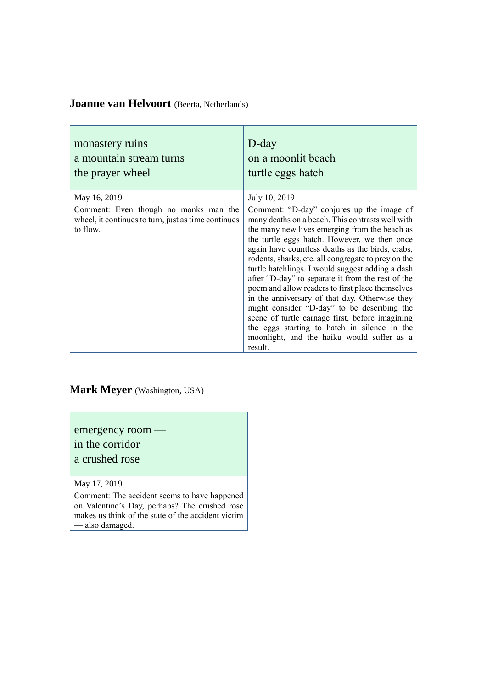### **Joanne van Helvoort** (Beerta, Netherlands)

| monastery ruins                                                                                                          | $D$ -day                                                                                                                                                                                                                                                                                                                                                                                                                                                                                                                                                                                                                                                                                                                                             |
|--------------------------------------------------------------------------------------------------------------------------|------------------------------------------------------------------------------------------------------------------------------------------------------------------------------------------------------------------------------------------------------------------------------------------------------------------------------------------------------------------------------------------------------------------------------------------------------------------------------------------------------------------------------------------------------------------------------------------------------------------------------------------------------------------------------------------------------------------------------------------------------|
| a mountain stream turns                                                                                                  | on a moonlit beach                                                                                                                                                                                                                                                                                                                                                                                                                                                                                                                                                                                                                                                                                                                                   |
| the prayer wheel                                                                                                         | turtle eggs hatch                                                                                                                                                                                                                                                                                                                                                                                                                                                                                                                                                                                                                                                                                                                                    |
| May 16, 2019<br>Comment: Even though no monks man the<br>wheel, it continues to turn, just as time continues<br>to flow. | July 10, 2019<br>Comment: "D-day" conjures up the image of<br>many deaths on a beach. This contrasts well with<br>the many new lives emerging from the beach as<br>the turtle eggs hatch. However, we then once<br>again have countless deaths as the birds, crabs,<br>rodents, sharks, etc. all congregate to prey on the<br>turtle hatchlings. I would suggest adding a dash<br>after "D-day" to separate it from the rest of the<br>poem and allow readers to first place themselves<br>in the anniversary of that day. Otherwise they<br>might consider "D-day" to be describing the<br>scene of turtle carnage first, before imagining<br>the eggs starting to hatch in silence in the<br>moonlight, and the haiku would suffer as a<br>result. |

# **Mark Meyer** (Washington, USA)

emergency room —

in the corridor

a crushed rose

May 17, 2019

Comment: The accident seems to have happened on Valentine's Day, perhaps? The crushed rose makes us think of the state of the accident victim — also damaged.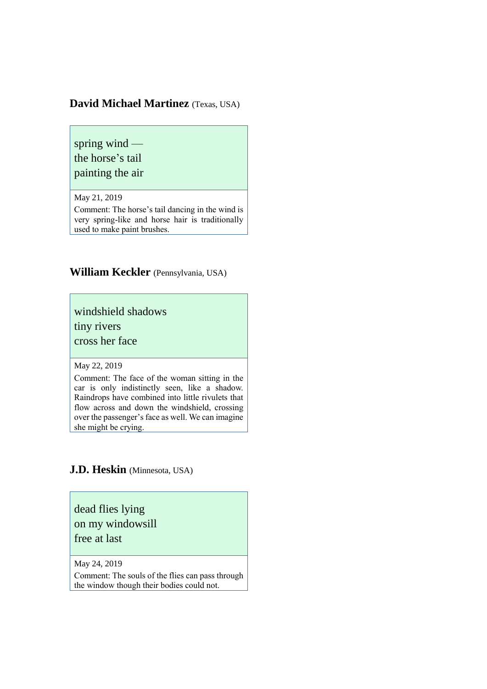### **David Michael Martinez** (Texas, USA)

spring wind the horse's tail painting the air

May 21, 2019

Comment: The horse's tail dancing in the wind is very spring-like and horse hair is traditionally used to make paint brushes.

**William Keckler** (Pennsylvania, USA)

windshield shadows

tiny rivers

cross her face

May 22, 2019

Comment: The face of the woman sitting in the car is only indistinctly seen, like a shadow. Raindrops have combined into little rivulets that flow across and down the windshield, crossing over the passenger's face as well. We can imagine she might be crying.

#### **J.D. Heskin** (Minnesota, USA)

dead flies lying on my windowsill

free at last

May 24, 2019

Comment: The souls of the flies can pass through the window though their bodies could not.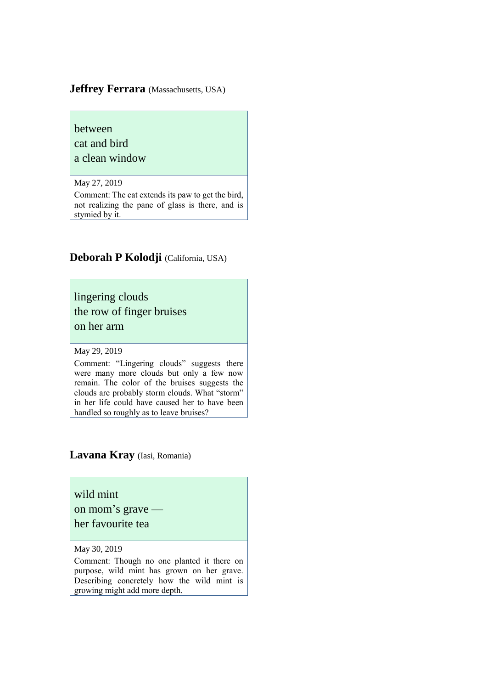#### **Jeffrey Ferrara** (Massachusetts, USA)

# between cat and bird

a clean window

May 27, 2019

Comment: The cat extends its paw to get the bird, not realizing the pane of glass is there, and is stymied by it.

### **Deborah P Kolodji** (California, USA)

lingering clouds the row of finger bruises on her arm

May 29, 2019

Comment: "Lingering clouds" suggests there were many more clouds but only a few now remain. The color of the bruises suggests the clouds are probably storm clouds. What "storm" in her life could have caused her to have been handled so roughly as to leave bruises?

### **Lavana Kray** (Iasi, Romania)

wild mint on mom's grave her favourite tea

May 30, 2019

Comment: Though no one planted it there on purpose, wild mint has grown on her grave. Describing concretely how the wild mint is growing might add more depth.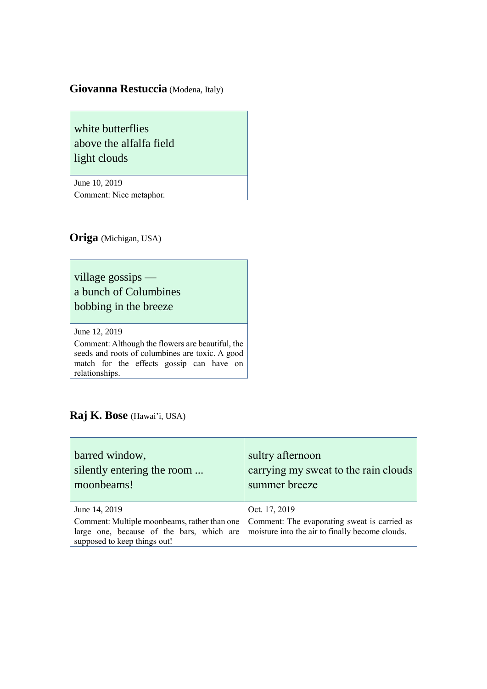### **Giovanna Restuccia** (Modena, Italy)

white butterflies above the alfalfa field light clouds

June 10, 2019 Comment: Nice metaphor.

**Origa** (Michigan, USA)

village gossips a bunch of Columbines bobbing in the breeze

June 12, 2019

Comment: Although the flowers are beautiful, the seeds and roots of columbines are toxic. A good match for the effects gossip can have on relationships.

### **Raj K. Bose** (Hawai'i, USA)

| barred window,<br>silently entering the room<br>moonbeams!                                                                | sultry afternoon<br>carrying my sweat to the rain clouds<br>summer breeze                       |
|---------------------------------------------------------------------------------------------------------------------------|-------------------------------------------------------------------------------------------------|
| June 14, 2019                                                                                                             | Oct. 17, 2019                                                                                   |
| Comment: Multiple moonbeams, rather than one<br>large one, because of the bars, which are<br>supposed to keep things out! | Comment: The evaporating sweat is carried as<br>moisture into the air to finally become clouds. |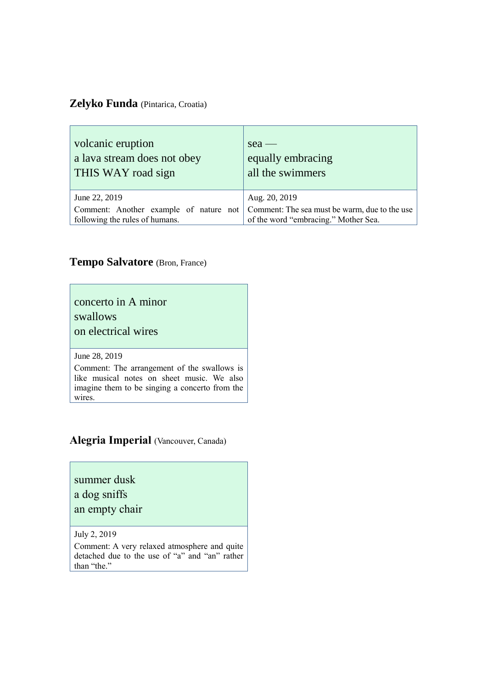### **Zelyko Funda** (Pintarica, Croatia)

| volcanic eruption                      | sea                                           |
|----------------------------------------|-----------------------------------------------|
| a lava stream does not obey            | equally embracing                             |
| THIS WAY road sign                     | all the swimmers                              |
| June 22, 2019                          | Aug. 20, 2019                                 |
| Comment: Another example of nature not | Comment: The sea must be warm, due to the use |
| following the rules of humans.         | of the word "embracing." Mother Sea.          |

### **Tempo Salvatore** (Bron, France)

### concerto in A minor swallows on electrical wires

#### June 28, 2019

Comment: The arrangement of the swallows is like musical notes on sheet music. We also imagine them to be singing a concerto from the wires.

### **Alegria Imperial** (Vancouver, Canada)

### summer dusk a dog sniffs

#### an empty chair

July 2, 2019

Comment: A very relaxed atmosphere and quite detached due to the use of "a" and "an" rather than "the."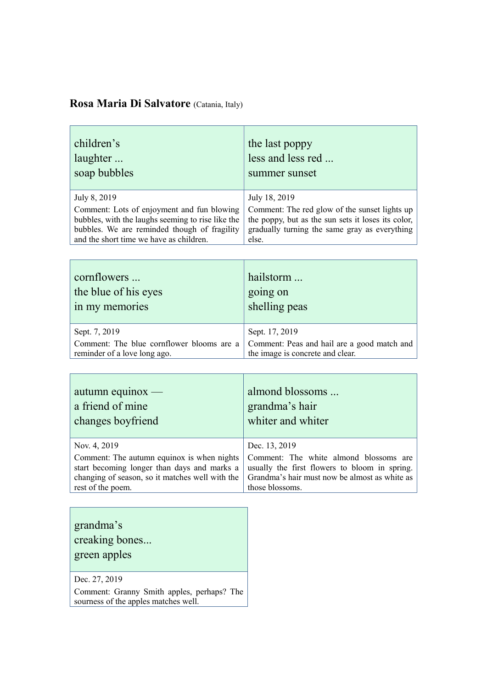### **Rosa Maria Di Salvatore** (Catania, Italy)

| children's<br>laughter<br>soap bubbles            | the last poppy<br>less and less red<br>summer sunset |
|---------------------------------------------------|------------------------------------------------------|
| July 8, 2019                                      | July 18, 2019                                        |
| Comment: Lots of enjoyment and fun blowing        | Comment: The red glow of the sunset lights up        |
| bubbles, with the laughs seeming to rise like the | the poppy, but as the sun sets it loses its color,   |
| bubbles. We are reminded though of fragility      | gradually turning the same gray as everything        |
| and the short time we have as children.           | else.                                                |

| cornflowers                               | hailstorm                                   |
|-------------------------------------------|---------------------------------------------|
| the blue of his eyes                      | going on                                    |
| in my memories                            | shelling peas                               |
| Sept. 7, 2019                             | Sept. 17, 2019                              |
| Comment: The blue cornflower blooms are a | Comment: Peas and hail are a good match and |
| reminder of a love long ago.              | the image is concrete and clear.            |

| $autumn$ equinox —                              | almond blossoms                               |
|-------------------------------------------------|-----------------------------------------------|
| a friend of mine                                | grandma's hair                                |
| changes boyfriend                               | whiter and whiter                             |
| Nov. 4, 2019                                    | Dec. 13, 2019                                 |
| Comment: The autumn equinox is when nights      | Comment: The white almond blossoms are        |
| start becoming longer than days and marks a     | usually the first flowers to bloom in spring. |
| changing of season, so it matches well with the | Grandma's hair must now be almost as white as |
| rest of the poem.                               | those blossoms.                               |

| grandma's<br>creaking bones<br>green apples |
|---------------------------------------------|
| Dec. 27, 2019                               |

Comment: Granny Smith apples, perhaps? The sourness of the apples matches well.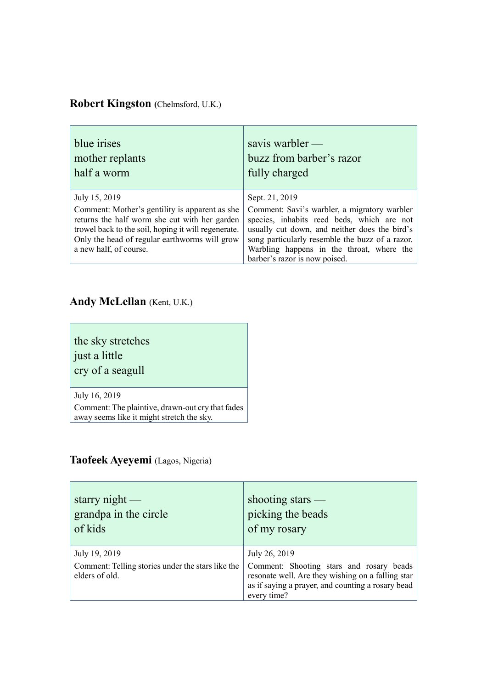### **Robert Kingston (**Chelmsford, U.K.)

| blue <i>irises</i>                                                                                                                                                                                                                                 | savis warbler $-$                                                                                                                                                                                                                                                                              |
|----------------------------------------------------------------------------------------------------------------------------------------------------------------------------------------------------------------------------------------------------|------------------------------------------------------------------------------------------------------------------------------------------------------------------------------------------------------------------------------------------------------------------------------------------------|
| mother replants                                                                                                                                                                                                                                    | buzz from barber's razor                                                                                                                                                                                                                                                                       |
| half a worm                                                                                                                                                                                                                                        | fully charged                                                                                                                                                                                                                                                                                  |
| July 15, 2019<br>Comment: Mother's gentility is apparent as she<br>returns the half worm she cut with her garden<br>trowel back to the soil, hoping it will regenerate.<br>Only the head of regular earthworms will grow<br>a new half, of course. | Sept. 21, 2019<br>Comment: Savi's warbler, a migratory warbler<br>species, inhabits reed beds, which are not<br>usually cut down, and neither does the bird's<br>song particularly resemble the buzz of a razor.<br>Warbling happens in the throat, where the<br>barber's razor is now poised. |

### **Andy McLellan** (Kent, U.K.)

the sky stretches just a little

cry of a seagull

July 16, 2019

Comment: The plaintive, drawn-out cry that fades away seems like it might stretch the sky.

### **Taofeek Ayeyemi** (Lagos, Nigeria)

| starry night $-$<br>grandpa in the circle<br>of kids                | shooting stars $-$<br>picking the beads<br>of my rosary                                                                                                           |
|---------------------------------------------------------------------|-------------------------------------------------------------------------------------------------------------------------------------------------------------------|
| July 19, 2019                                                       | July 26, 2019                                                                                                                                                     |
| Comment: Telling stories under the stars like the<br>elders of old. | Comment: Shooting stars and rosary beads<br>resonate well. Are they wishing on a falling star<br>as if saying a prayer, and counting a rosary bead<br>every time? |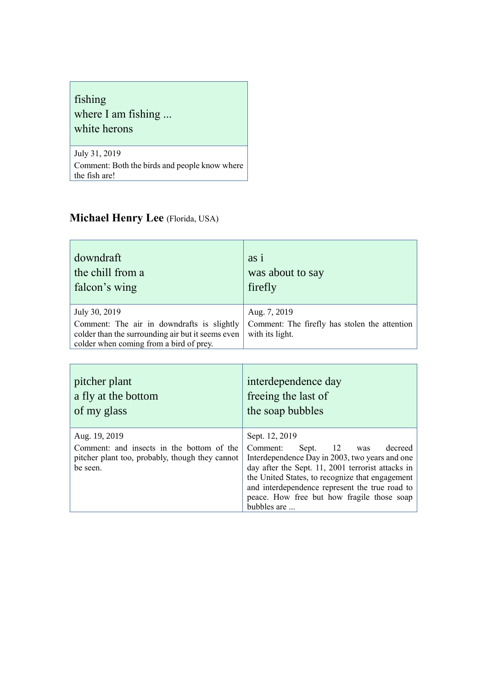### fishing where I am fishing ... white herons

July 31, 2019 Comment: Both the birds and people know where the fish are!

# **Michael Henry Lee** (Florida, USA)

| downdraft<br>the chill from a<br>falcon's wing                                                                                             | as 1<br>was about to say<br>firefly                              |
|--------------------------------------------------------------------------------------------------------------------------------------------|------------------------------------------------------------------|
| July 30, 2019                                                                                                                              | Aug. 7, 2019                                                     |
| Comment: The air in downdrafts is slightly<br>colder than the surrounding air but it seems even<br>colder when coming from a bird of prey. | Comment: The firefly has stolen the attention<br>with its light. |

| pitcher plant<br>a fly at the bottom<br>of my glass         | interdependence day<br>freeing the last of<br>the soap bubbles                                                                                                                                                                                                        |
|-------------------------------------------------------------|-----------------------------------------------------------------------------------------------------------------------------------------------------------------------------------------------------------------------------------------------------------------------|
| Aug. 19, 2019<br>Comment: and insects in the bottom of the  | Sept. 12, 2019<br>12<br>Comment:<br>Sept.<br>decreed<br>was                                                                                                                                                                                                           |
| pitcher plant too, probably, though they cannot<br>be seen. | Interdependence Day in 2003, two years and one<br>day after the Sept. 11, 2001 terrorist attacks in<br>the United States, to recognize that engagement<br>and interdependence represent the true road to<br>peace. How free but how fragile those soap<br>bubbles are |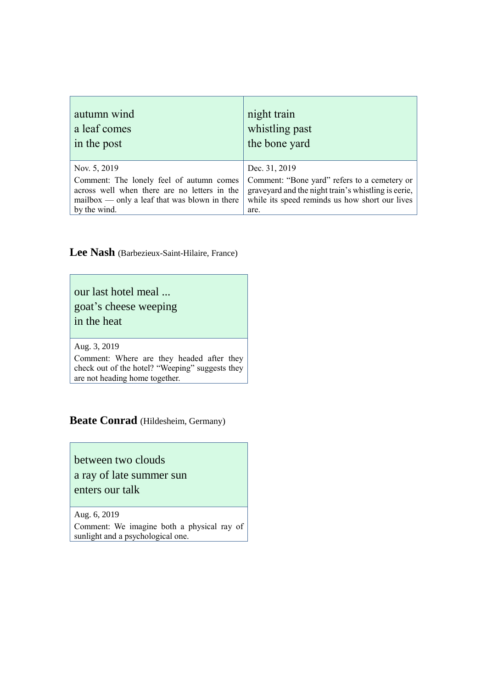| autumn wind                                     | night train                                         |
|-------------------------------------------------|-----------------------------------------------------|
| a leaf comes                                    | whistling past                                      |
| in the post                                     | the bone yard                                       |
| Nov. 5, 2019                                    | Dec. 31, 2019                                       |
| Comment: The lonely feel of autumn comes        | Comment: "Bone yard" refers to a cemetery or        |
| across well when there are no letters in the    | graveyard and the night train's whistling is eerie, |
| $mailbox — only a leaf that was blown in there$ | while its speed reminds us how short our lives      |
| by the wind.                                    | are.                                                |

# **Lee Nash** (Barbezieux-Saint-Hilaire, France)

our last hotel meal ...

goat's cheese weeping

in the heat

Aug. 3, 2019

Comment: Where are they headed after they check out of the hotel? "Weeping" suggests they are not heading home together.

### **Beate Conrad** (Hildesheim, Germany)

between two clouds a ray of late summer sun enters our talk

Aug. 6, 2019

Comment: We imagine both a physical ray of sunlight and a psychological one.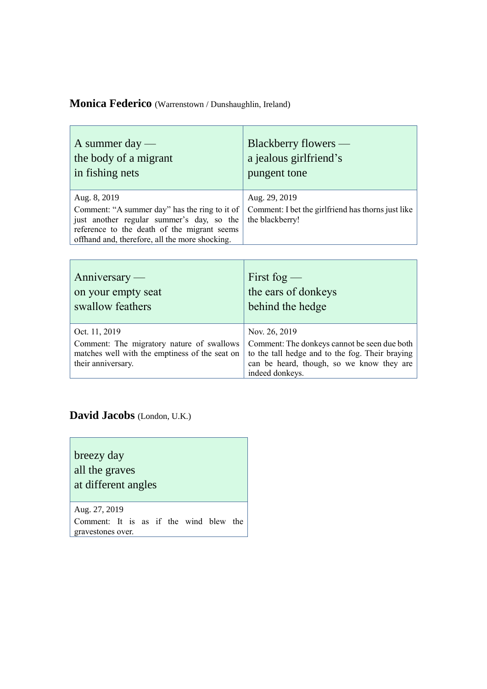### **Monica Federico** (Warrenstown / Dunshaughlin, Ireland)

| A summer day $-$                                                                              | Blackberry flowers —                               |
|-----------------------------------------------------------------------------------------------|----------------------------------------------------|
| the body of a migrant                                                                         | a jealous girlfriend's                             |
| in fishing nets                                                                               | pungent tone                                       |
| Aug. 8, 2019                                                                                  | Aug. 29, 2019                                      |
| Comment: "A summer day" has the ring to it of                                                 | Comment: I bet the girlfriend has thorns just like |
| just another regular summer's day, so the                                                     | the blackberry!                                    |
| reference to the death of the migrant seems<br>offhand and, therefore, all the more shocking. |                                                    |

| $\text{Anniversity}$                                                                                                               | First fog $-$                                                                                                                                                                    |
|------------------------------------------------------------------------------------------------------------------------------------|----------------------------------------------------------------------------------------------------------------------------------------------------------------------------------|
| on your empty seat                                                                                                                 | the ears of donkeys                                                                                                                                                              |
| swallow feathers                                                                                                                   | behind the hedge                                                                                                                                                                 |
| Oct. 11, 2019<br>Comment: The migratory nature of swallows<br>matches well with the emptiness of the seat on<br>their anniversary. | Nov. 26, 2019<br>Comment: The donkeys cannot be seen due both<br>to the tall hedge and to the fog. Their braying<br>can be heard, though, so we know they are<br>indeed donkeys. |

### **David Jacobs** (London, U.K.)

breezy day all the graves at different angles

 $\Gamma$ 

Aug. 27, 2019 Comment: It is as if the wind blew the gravestones over.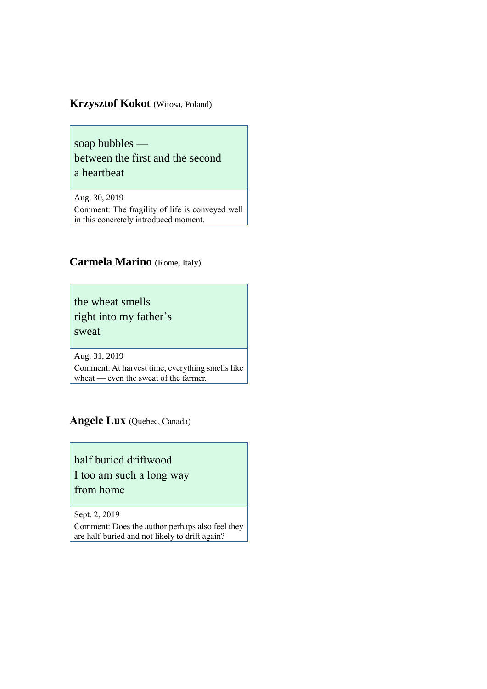### **Krzysztof Kokot** (Witosa, Poland)

soap bubbles between the first and the second a heartbeat

Aug. 30, 2019 Comment: The fragility of life is conveyed well in this concretely introduced moment.

### **Carmela Marino** (Rome, Italy)

the wheat smells right into my father's sweat

Aug. 31, 2019

Comment: At harvest time, everything smells like wheat — even the sweat of the farmer.

**Angele Lux** (Quebec, Canada)

half buried driftwood I too am such a long way from home

Sept. 2, 2019

Comment: Does the author perhaps also feel they are half-buried and not likely to drift again?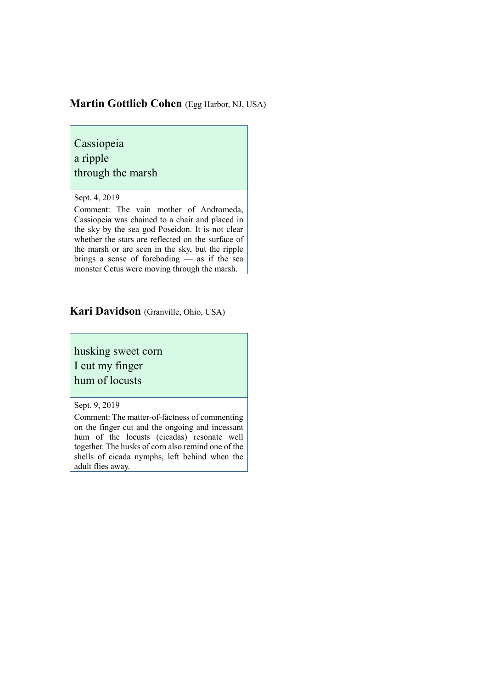### **Martin Gottlieb Cohen** (Egg Harbor, NJ, USA)

Cassiopeia a ripple through the marsh

Sept. 4, 2019

Comment: The vain mother of Andromeda, Cassiopeia was chained to a chair and placed in the sky by the sea god Poseidon. It is not clear whether the stars are reflected on the surface of the marsh or are seen in the sky, but the ripple brings a sense of foreboding — as if the sea monster Cetus were moving through the marsh.

#### **Kari Davidson** (Granville, Ohio, USA)

husking sweet corn I cut my finger hum of locusts

Sept. 9, 2019

Comment: The matter-of-factness of commenting on the finger cut and the ongoing and incessant hum of the locusts (cicadas) resonate well together. The husks of corn also remind one of the shells of cicada nymphs, left behind when the adult flies away.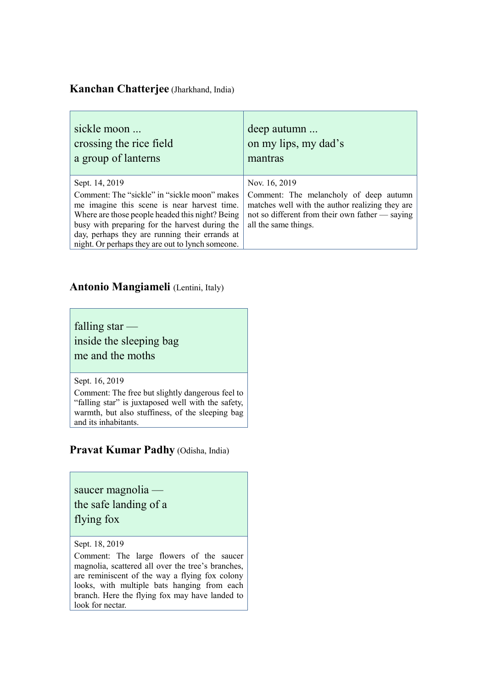### **Kanchan Chatterjee** (Jharkhand, India)

| sickle moon<br>crossing the rice field<br>a group of lanterns                                                                                                                                                                                                                                          | deep autumn<br>on my lips, my dad's<br>mantras                                                                                                                       |
|--------------------------------------------------------------------------------------------------------------------------------------------------------------------------------------------------------------------------------------------------------------------------------------------------------|----------------------------------------------------------------------------------------------------------------------------------------------------------------------|
| Sept. 14, 2019                                                                                                                                                                                                                                                                                         | Nov. 16, 2019                                                                                                                                                        |
| Comment: The "sickle" in "sickle moon" makes<br>me imagine this scene is near harvest time.<br>Where are those people headed this night? Being<br>busy with preparing for the harvest during the<br>day, perhaps they are running their errands at<br>night. Or perhaps they are out to lynch someone. | Comment: The melancholy of deep autumn<br>matches well with the author realizing they are<br>not so different from their own father — saying<br>all the same things. |

### **Antonio Mangiameli** (Lentini, Italy)

falling star —

inside the sleeping bag me and the moths

Sept. 16, 2019

Comment: The free but slightly dangerous feel to "falling star" is juxtaposed well with the safety, warmth, but also stuffiness, of the sleeping bag and its inhabitants.

**Pravat Kumar Padhy** (Odisha, India)

saucer magnolia the safe landing of a

flying fox

Sept. 18, 2019

Comment: The large flowers of the saucer magnolia, scattered all over the tree's branches, are reminiscent of the way a flying fox colony looks, with multiple bats hanging from each branch. Here the flying fox may have landed to look for nectar.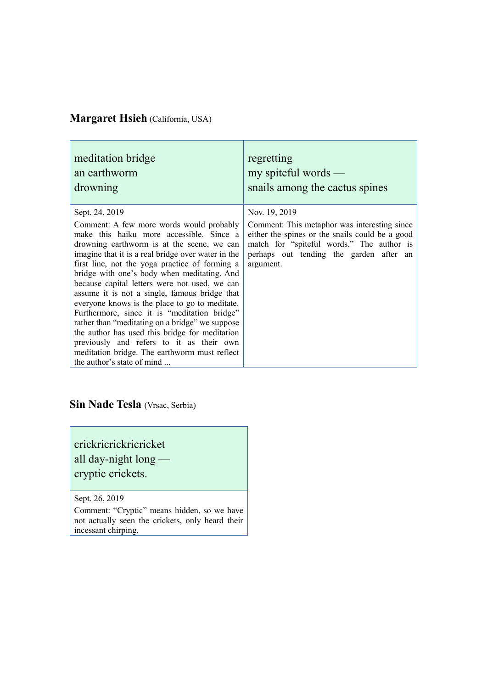### **Margaret Hsieh** (California, USA)

| meditation bridge                                                                                                                                                                                                                                                                                                                                                                                                                                                                                                                                                                                                                                                                                                                               | regretting                                                                                                                                                                                                            |
|-------------------------------------------------------------------------------------------------------------------------------------------------------------------------------------------------------------------------------------------------------------------------------------------------------------------------------------------------------------------------------------------------------------------------------------------------------------------------------------------------------------------------------------------------------------------------------------------------------------------------------------------------------------------------------------------------------------------------------------------------|-----------------------------------------------------------------------------------------------------------------------------------------------------------------------------------------------------------------------|
| an earthworm                                                                                                                                                                                                                                                                                                                                                                                                                                                                                                                                                                                                                                                                                                                                    | $my$ spiteful words —                                                                                                                                                                                                 |
| drowning                                                                                                                                                                                                                                                                                                                                                                                                                                                                                                                                                                                                                                                                                                                                        | snails among the cactus spines                                                                                                                                                                                        |
| Sept. 24, 2019<br>Comment: A few more words would probably<br>make this haiku more accessible. Since a<br>drowning earthworm is at the scene, we can<br>imagine that it is a real bridge over water in the<br>first line, not the yoga practice of forming a<br>bridge with one's body when meditating. And<br>because capital letters were not used, we can<br>assume it is not a single, famous bridge that<br>everyone knows is the place to go to meditate.<br>Furthermore, since it is "meditation bridge"<br>rather than "meditating on a bridge" we suppose<br>the author has used this bridge for meditation<br>previously and refers to it as their own<br>meditation bridge. The earthworm must reflect<br>the author's state of mind | Nov. 19, 2019<br>Comment: This metaphor was interesting since<br>either the spines or the snails could be a good<br>match for "spiteful words." The author is<br>perhaps out tending the garden after an<br>argument. |

**Sin Nade Tesla** (Vrsac, Serbia)

crickricrickricricket all day-night long cryptic crickets.

Sept. 26, 2019

Comment: "Cryptic" means hidden, so we have not actually seen the crickets, only heard their incessant chirping.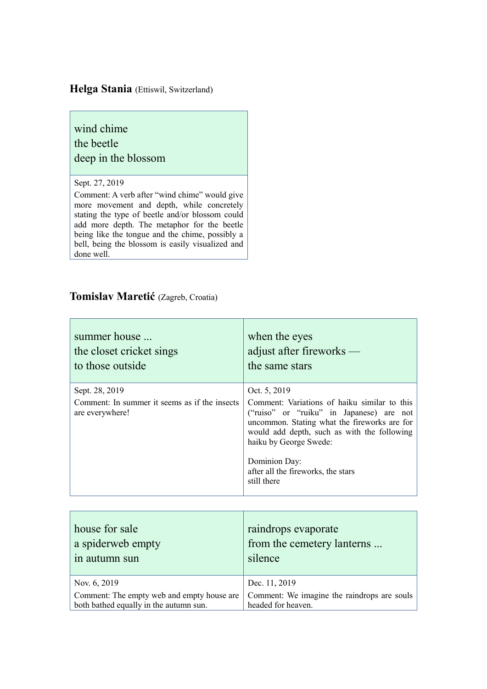### **Helga Stania** (Ettiswil, Switzerland)

### wind chime the beetle deep in the blossom

#### Sept. 27, 2019

Comment: A verb after "wind chime" would give more movement and depth, while concretely stating the type of beetle and/or blossom could add more depth. The metaphor for the beetle being like the tongue and the chime, possibly a bell, being the blossom is easily visualized and done well.

### **Tomislav Maretić** (Zagreb, Croatia)

| summer house                                                                       | when the eyes                                                                                                                                                                                                                                                                                           |
|------------------------------------------------------------------------------------|---------------------------------------------------------------------------------------------------------------------------------------------------------------------------------------------------------------------------------------------------------------------------------------------------------|
| the closet cricket sings                                                           | adjust after fireworks $-$                                                                                                                                                                                                                                                                              |
| to those outside                                                                   | the same stars                                                                                                                                                                                                                                                                                          |
| Sept. 28, 2019<br>Comment: In summer it seems as if the insects<br>are everywhere! | Oct. 5, 2019<br>Comment: Variations of haiku similar to this<br>("ruiso" or "ruiku" in Japanese) are not<br>uncommon. Stating what the fireworks are for<br>would add depth, such as with the following<br>haiku by George Swede:<br>Dominion Day:<br>after all the fireworks, the stars<br>still there |

| house for sale                             | raindrops evaporate                         |
|--------------------------------------------|---------------------------------------------|
| a spiderweb empty                          | from the cemetery lanterns                  |
| in autumn sun                              | silence                                     |
| Nov. 6, 2019                               | Dec. 11, 2019                               |
| Comment: The empty web and empty house are | Comment: We imagine the raindrops are souls |
| both bathed equally in the autumn sun.     | headed for heaven.                          |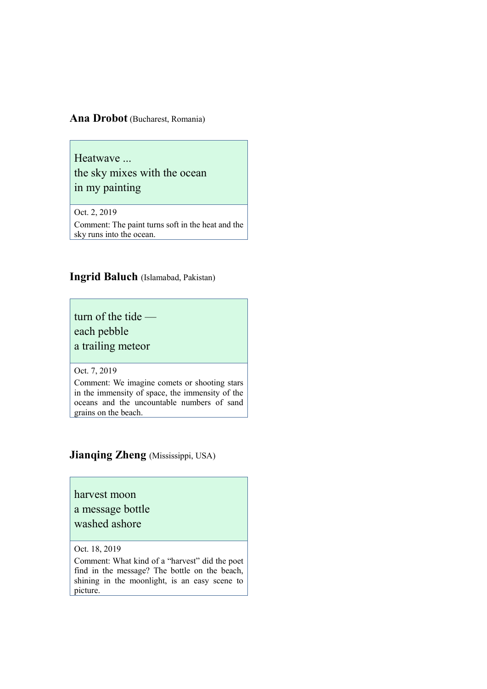#### **Ana Drobot** (Bucharest, Romania)

Heatwave ... the sky mixes with the ocean in my painting

Oct. 2, 2019

Comment: The paint turns soft in the heat and the sky runs into the ocean.

#### **Ingrid Baluch** (Islamabad, Pakistan)

turn of the tide each pebble a trailing meteor

#### Oct. 7, 2019

Comment: We imagine comets or shooting stars in the immensity of space, the immensity of the oceans and the uncountable numbers of sand grains on the beach.

### **Jianqing Zheng** (Mississippi, USA)

#### harvest moon

#### a message bottle

### washed ashore

Oct. 18, 2019

Comment: What kind of a "harvest" did the poet find in the message? The bottle on the beach, shining in the moonlight, is an easy scene to picture.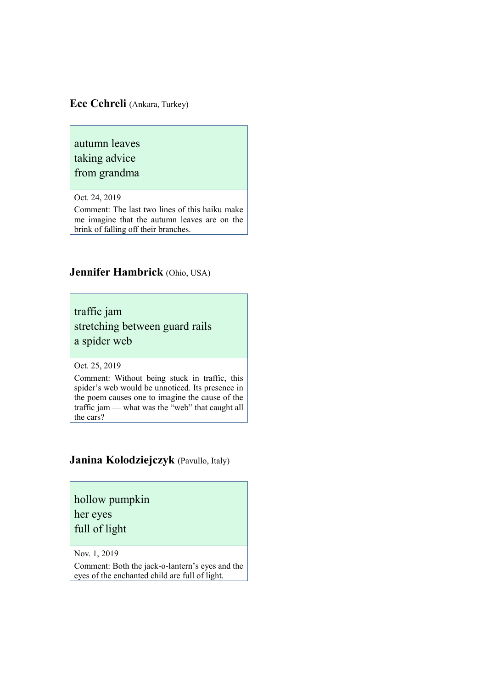#### **Ece Cehreli** (Ankara, Turkey)

autumn leaves taking advice

from grandma

Oct. 24, 2019

Comment: The last two lines of this haiku make me imagine that the autumn leaves are on the brink of falling off their branches.

### **Jennifer Hambrick** (Ohio, USA)

traffic jam stretching between guard rails a spider web

Oct. 25, 2019

Comment: Without being stuck in traffic, this spider's web would be unnoticed. Its presence in the poem causes one to imagine the cause of the traffic jam — what was the "web" that caught all the cars?

### **Janina Kolodziejczyk** (Pavullo, Italy)

hollow pumpkin

her eyes

full of light

Nov. 1, 2019

Comment: Both the jack-o-lantern's eyes and the eyes of the enchanted child are full of light.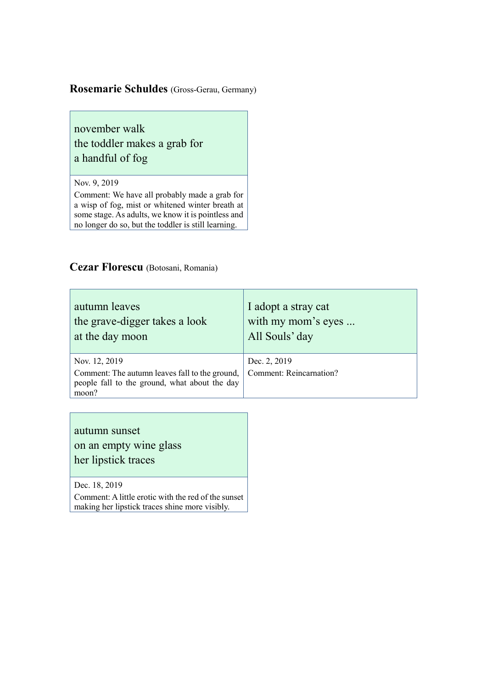### **Rosemarie Schuldes** (Gross-Gerau, Germany)

november walk the toddler makes a grab for a handful of fog

Nov. 9, 2019

Comment: We have all probably made a grab for a wisp of fog, mist or whitened winter breath at some stage. As adults, we know it is pointless and no longer do so, but the toddler is still learning.

### **Cezar Florescu** (Botosani, Romania)

| autumn leaves<br>the grave-digger takes a look<br>at the day moon                                        | I adopt a stray cat<br>with my mom's eyes<br>All Souls' day |
|----------------------------------------------------------------------------------------------------------|-------------------------------------------------------------|
| Nov. 12, 2019                                                                                            | Dec. 2, 2019                                                |
| Comment: The autumn leaves fall to the ground,<br>people fall to the ground, what about the day<br>moon? | <b>Comment: Reincarnation?</b>                              |

autumn sunset on an empty wine glass her lipstick traces

Dec. 18, 2019

Comment: A little erotic with the red of the sunset making her lipstick traces shine more visibly.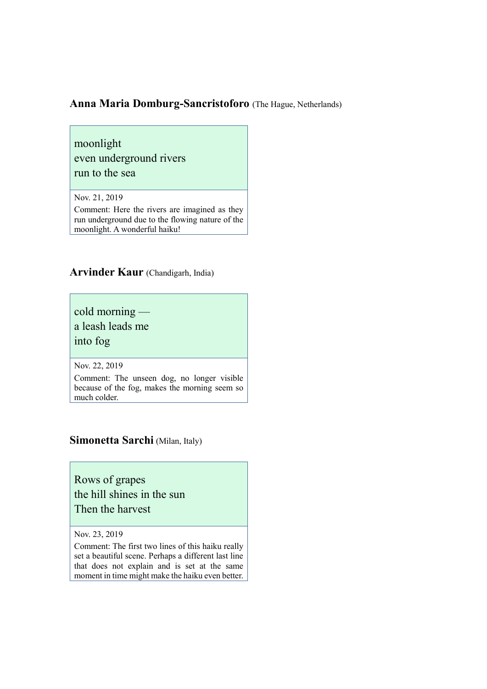### **Anna Maria Domburg-Sancristoforo** (The Hague, Netherlands)

moonlight even underground rivers run to the sea

Nov. 21, 2019

Comment: Here the rivers are imagined as they run underground due to the flowing nature of the moonlight. A wonderful haiku!

**Arvinder Kaur** (Chandigarh, India)

cold morning a leash leads me into fog

Nov. 22, 2019

Comment: The unseen dog, no longer visible because of the fog, makes the morning seem so much colder.

### **Simonetta Sarchi** (Milan, Italy)

Rows of grapes the hill shines in the sun Then the harvest

Nov. 23, 2019

Comment: The first two lines of this haiku really set a beautiful scene. Perhaps a different last line that does not explain and is set at the same moment in time might make the haiku even better.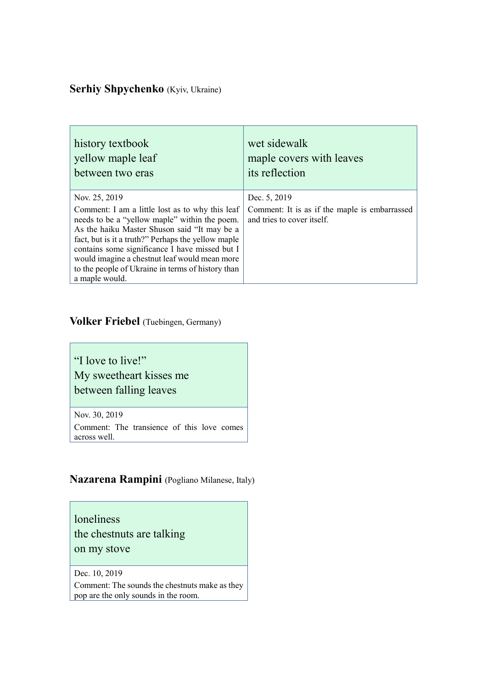### Serhiy Shpychenko (Kyiv, Ukraine)

| history textbook                                                                                                                                                                                                                                                                                                                                                                                  | wet sidewalk                                                                                |
|---------------------------------------------------------------------------------------------------------------------------------------------------------------------------------------------------------------------------------------------------------------------------------------------------------------------------------------------------------------------------------------------------|---------------------------------------------------------------------------------------------|
| yellow maple leaf                                                                                                                                                                                                                                                                                                                                                                                 | maple covers with leaves                                                                    |
| between two eras                                                                                                                                                                                                                                                                                                                                                                                  | its reflection                                                                              |
| Nov. 25, 2019<br>Comment: I am a little lost as to why this leaf<br>needs to be a "yellow maple" within the poem.<br>As the haiku Master Shuson said "It may be a<br>fact, but is it a truth?" Perhaps the yellow maple<br>contains some significance I have missed but I<br>would imagine a chestnut leaf would mean more<br>to the people of Ukraine in terms of history than<br>a maple would. | Dec. 5, 2019<br>Comment: It is as if the maple is embarrassed<br>and tries to cover itself. |

### **Volker Friebel** (Tuebingen, Germany)

"I love to live!" My sweetheart kisses me between falling leaves

Nov. 30, 2019

Comment: The transience of this love comes across well.

### **Nazarena Rampini** (Pogliano Milanese, Italy)

loneliness the chestnuts are talking on my stove

Dec. 10, 2019

Comment: The sounds the chestnuts make as they pop are the only sounds in the room.